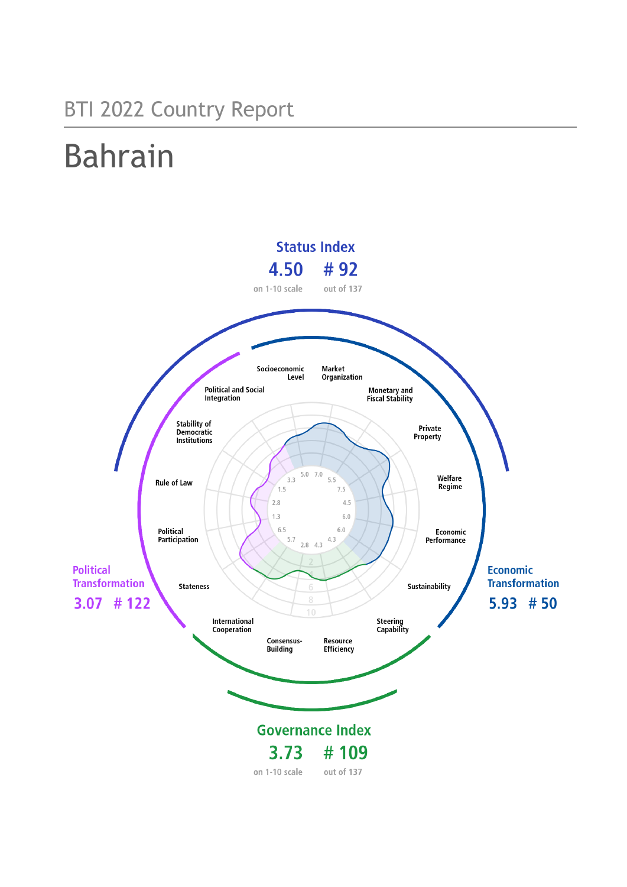## BTI 2022 Country Report

# Bahrain

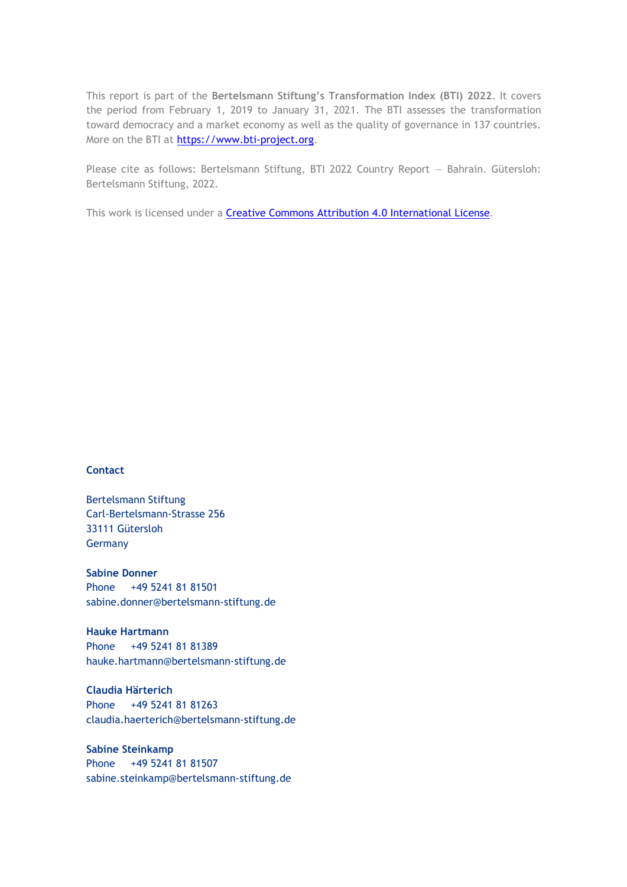This report is part of the **Bertelsmann Stiftung's Transformation Index (BTI) 2022**. It covers the period from February 1, 2019 to January 31, 2021. The BTI assesses the transformation toward democracy and a market economy as well as the quality of governance in 137 countries. More on the BTI at [https://www.bti-project.org.](https://www.bti-project.org/)

Please cite as follows: Bertelsmann Stiftung, BTI 2022 Country Report — Bahrain. Gütersloh: Bertelsmann Stiftung, 2022.

This work is licensed under a **Creative Commons Attribution 4.0 International License**.

### **Contact**

Bertelsmann Stiftung Carl-Bertelsmann-Strasse 256 33111 Gütersloh Germany

**Sabine Donner** Phone +49 5241 81 81501 sabine.donner@bertelsmann-stiftung.de

**Hauke Hartmann** Phone +49 5241 81 81389 hauke.hartmann@bertelsmann-stiftung.de

**Claudia Härterich** Phone +49 5241 81 81263 claudia.haerterich@bertelsmann-stiftung.de

### **Sabine Steinkamp** Phone +49 5241 81 81507 sabine.steinkamp@bertelsmann-stiftung.de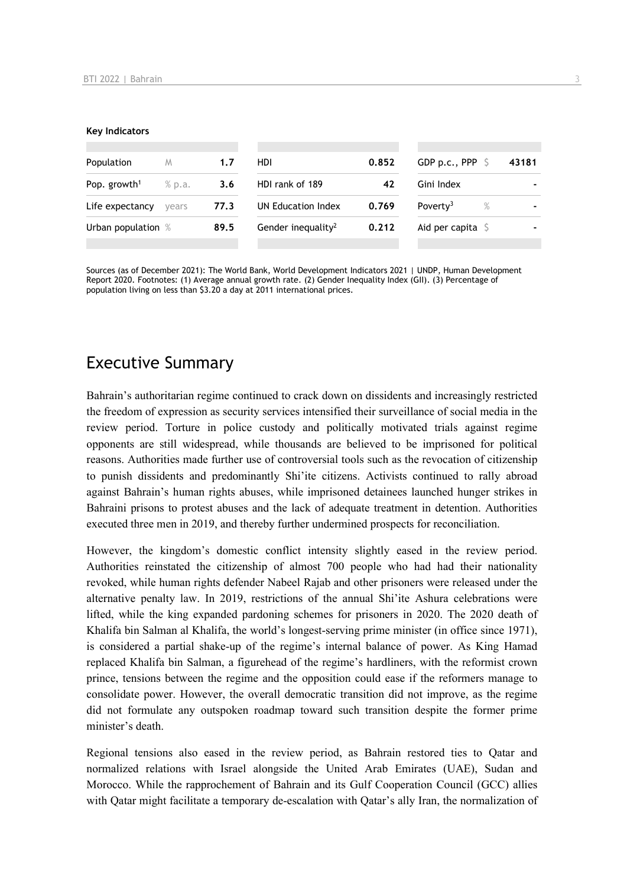#### **Key Indicators**

| Population               | M      | 1.7  | HDI.                           | 0.852 | GDP p.c., PPP $\ S$       |      | 43181 |
|--------------------------|--------|------|--------------------------------|-------|---------------------------|------|-------|
| Pop. growth <sup>1</sup> | % p.a. | 3.6  | HDI rank of 189                | 42    | Gini Index                |      |       |
| Life expectancy          | vears  | 77.3 | UN Education Index             | 0.769 | Poverty <sup>3</sup>      | $\%$ |       |
| Urban population %       |        | 89.5 | Gender inequality <sup>2</sup> | 0.212 | Aid per capita $\sqrt{5}$ |      |       |
|                          |        |      |                                |       |                           |      |       |

Sources (as of December 2021): The World Bank, World Development Indicators 2021 | UNDP, Human Development Report 2020. Footnotes: (1) Average annual growth rate. (2) Gender Inequality Index (GII). (3) Percentage of population living on less than \$3.20 a day at 2011 international prices.

## Executive Summary

Bahrain's authoritarian regime continued to crack down on dissidents and increasingly restricted the freedom of expression as security services intensified their surveillance of social media in the review period. Torture in police custody and politically motivated trials against regime opponents are still widespread, while thousands are believed to be imprisoned for political reasons. Authorities made further use of controversial tools such as the revocation of citizenship to punish dissidents and predominantly Shi'ite citizens. Activists continued to rally abroad against Bahrain's human rights abuses, while imprisoned detainees launched hunger strikes in Bahraini prisons to protest abuses and the lack of adequate treatment in detention. Authorities executed three men in 2019, and thereby further undermined prospects for reconciliation.

However, the kingdom's domestic conflict intensity slightly eased in the review period. Authorities reinstated the citizenship of almost 700 people who had had their nationality revoked, while human rights defender Nabeel Rajab and other prisoners were released under the alternative penalty law. In 2019, restrictions of the annual Shi'ite Ashura celebrations were lifted, while the king expanded pardoning schemes for prisoners in 2020. The 2020 death of Khalifa bin Salman al Khalifa, the world's longest-serving prime minister (in office since 1971), is considered a partial shake-up of the regime's internal balance of power. As King Hamad replaced Khalifa bin Salman, a figurehead of the regime's hardliners, with the reformist crown prince, tensions between the regime and the opposition could ease if the reformers manage to consolidate power. However, the overall democratic transition did not improve, as the regime did not formulate any outspoken roadmap toward such transition despite the former prime minister's death.

Regional tensions also eased in the review period, as Bahrain restored ties to Qatar and normalized relations with Israel alongside the United Arab Emirates (UAE), Sudan and Morocco. While the rapprochement of Bahrain and its Gulf Cooperation Council (GCC) allies with Qatar might facilitate a temporary de-escalation with Qatar's ally Iran, the normalization of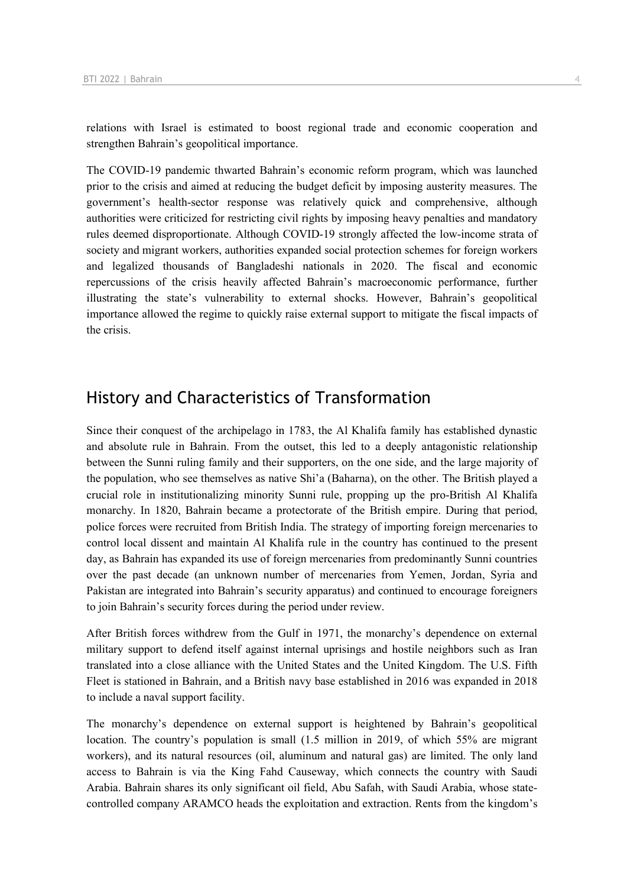relations with Israel is estimated to boost regional trade and economic cooperation and strengthen Bahrain's geopolitical importance.

The COVID-19 pandemic thwarted Bahrain's economic reform program, which was launched prior to the crisis and aimed at reducing the budget deficit by imposing austerity measures. The government's health-sector response was relatively quick and comprehensive, although authorities were criticized for restricting civil rights by imposing heavy penalties and mandatory rules deemed disproportionate. Although COVID-19 strongly affected the low-income strata of society and migrant workers, authorities expanded social protection schemes for foreign workers and legalized thousands of Bangladeshi nationals in 2020. The fiscal and economic repercussions of the crisis heavily affected Bahrain's macroeconomic performance, further illustrating the state's vulnerability to external shocks. However, Bahrain's geopolitical importance allowed the regime to quickly raise external support to mitigate the fiscal impacts of the crisis.

## History and Characteristics of Transformation

Since their conquest of the archipelago in 1783, the Al Khalifa family has established dynastic and absolute rule in Bahrain. From the outset, this led to a deeply antagonistic relationship between the Sunni ruling family and their supporters, on the one side, and the large majority of the population, who see themselves as native Shi'a (Baharna), on the other. The British played a crucial role in institutionalizing minority Sunni rule, propping up the pro-British Al Khalifa monarchy. In 1820, Bahrain became a protectorate of the British empire. During that period, police forces were recruited from British India. The strategy of importing foreign mercenaries to control local dissent and maintain Al Khalifa rule in the country has continued to the present day, as Bahrain has expanded its use of foreign mercenaries from predominantly Sunni countries over the past decade (an unknown number of mercenaries from Yemen, Jordan, Syria and Pakistan are integrated into Bahrain's security apparatus) and continued to encourage foreigners to join Bahrain's security forces during the period under review.

After British forces withdrew from the Gulf in 1971, the monarchy's dependence on external military support to defend itself against internal uprisings and hostile neighbors such as Iran translated into a close alliance with the United States and the United Kingdom. The U.S. Fifth Fleet is stationed in Bahrain, and a British navy base established in 2016 was expanded in 2018 to include a naval support facility.

The monarchy's dependence on external support is heightened by Bahrain's geopolitical location. The country's population is small (1.5 million in 2019, of which 55% are migrant workers), and its natural resources (oil, aluminum and natural gas) are limited. The only land access to Bahrain is via the King Fahd Causeway, which connects the country with Saudi Arabia. Bahrain shares its only significant oil field, Abu Safah, with Saudi Arabia, whose statecontrolled company ARAMCO heads the exploitation and extraction. Rents from the kingdom's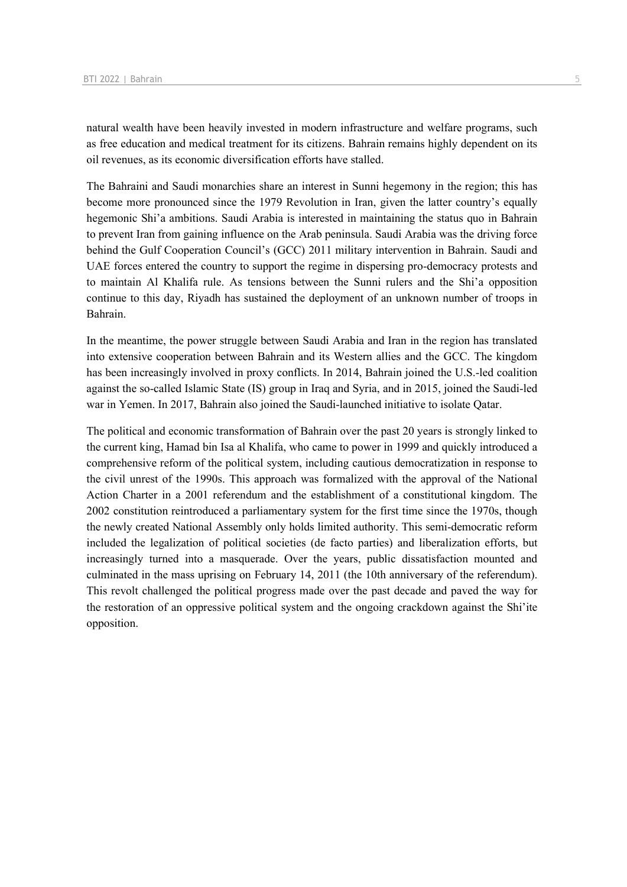natural wealth have been heavily invested in modern infrastructure and welfare programs, such as free education and medical treatment for its citizens. Bahrain remains highly dependent on its oil revenues, as its economic diversification efforts have stalled.

The Bahraini and Saudi monarchies share an interest in Sunni hegemony in the region; this has become more pronounced since the 1979 Revolution in Iran, given the latter country's equally hegemonic Shi'a ambitions. Saudi Arabia is interested in maintaining the status quo in Bahrain to prevent Iran from gaining influence on the Arab peninsula. Saudi Arabia was the driving force behind the Gulf Cooperation Council's (GCC) 2011 military intervention in Bahrain. Saudi and UAE forces entered the country to support the regime in dispersing pro-democracy protests and to maintain Al Khalifa rule. As tensions between the Sunni rulers and the Shi'a opposition continue to this day, Riyadh has sustained the deployment of an unknown number of troops in Bahrain.

In the meantime, the power struggle between Saudi Arabia and Iran in the region has translated into extensive cooperation between Bahrain and its Western allies and the GCC. The kingdom has been increasingly involved in proxy conflicts. In 2014, Bahrain joined the U.S.-led coalition against the so-called Islamic State (IS) group in Iraq and Syria, and in 2015, joined the Saudi-led war in Yemen. In 2017, Bahrain also joined the Saudi-launched initiative to isolate Qatar.

The political and economic transformation of Bahrain over the past 20 years is strongly linked to the current king, Hamad bin Isa al Khalifa, who came to power in 1999 and quickly introduced a comprehensive reform of the political system, including cautious democratization in response to the civil unrest of the 1990s. This approach was formalized with the approval of the National Action Charter in a 2001 referendum and the establishment of a constitutional kingdom. The 2002 constitution reintroduced a parliamentary system for the first time since the 1970s, though the newly created National Assembly only holds limited authority. This semi-democratic reform included the legalization of political societies (de facto parties) and liberalization efforts, but increasingly turned into a masquerade. Over the years, public dissatisfaction mounted and culminated in the mass uprising on February 14, 2011 (the 10th anniversary of the referendum). This revolt challenged the political progress made over the past decade and paved the way for the restoration of an oppressive political system and the ongoing crackdown against the Shi'ite opposition.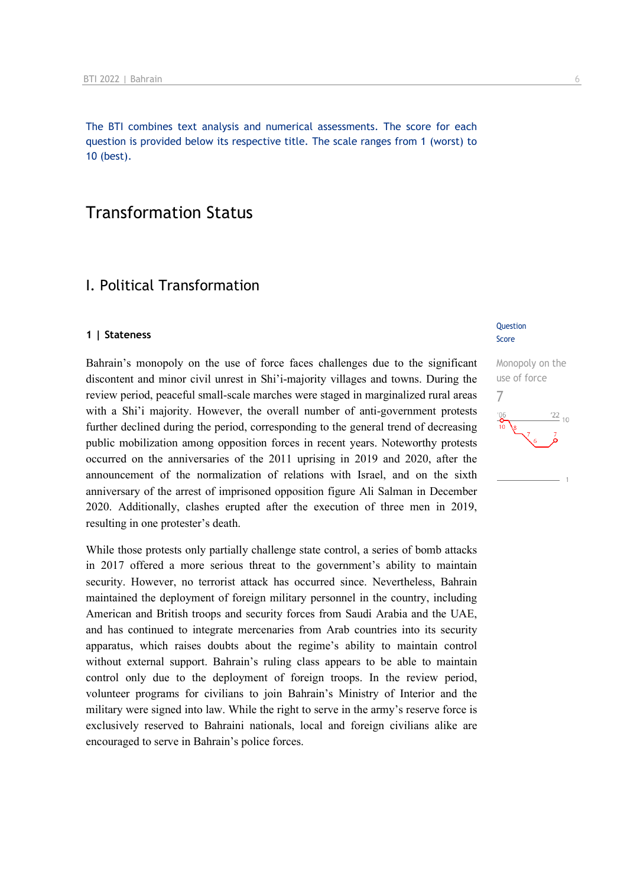The BTI combines text analysis and numerical assessments. The score for each question is provided below its respective title. The scale ranges from 1 (worst) to 10 (best).

## Transformation Status

## I. Political Transformation

### **1 | Stateness**

Bahrain's monopoly on the use of force faces challenges due to the significant discontent and minor civil unrest in Shi'i-majority villages and towns. During the review period, peaceful small-scale marches were staged in marginalized rural areas with a Shi'i majority. However, the overall number of anti-government protests further declined during the period, corresponding to the general trend of decreasing public mobilization among opposition forces in recent years. Noteworthy protests occurred on the anniversaries of the 2011 uprising in 2019 and 2020, after the announcement of the normalization of relations with Israel, and on the sixth anniversary of the arrest of imprisoned opposition figure Ali Salman in December 2020. Additionally, clashes erupted after the execution of three men in 2019, resulting in one protester's death.

While those protests only partially challenge state control, a series of bomb attacks in 2017 offered a more serious threat to the government's ability to maintain security. However, no terrorist attack has occurred since. Nevertheless, Bahrain maintained the deployment of foreign military personnel in the country, including American and British troops and security forces from Saudi Arabia and the UAE, and has continued to integrate mercenaries from Arab countries into its security apparatus, which raises doubts about the regime's ability to maintain control without external support. Bahrain's ruling class appears to be able to maintain control only due to the deployment of foreign troops. In the review period, volunteer programs for civilians to join Bahrain's Ministry of Interior and the military were signed into law. While the right to serve in the army's reserve force is exclusively reserved to Bahraini nationals, local and foreign civilians alike are encouraged to serve in Bahrain's police forces.

### **Question** Score

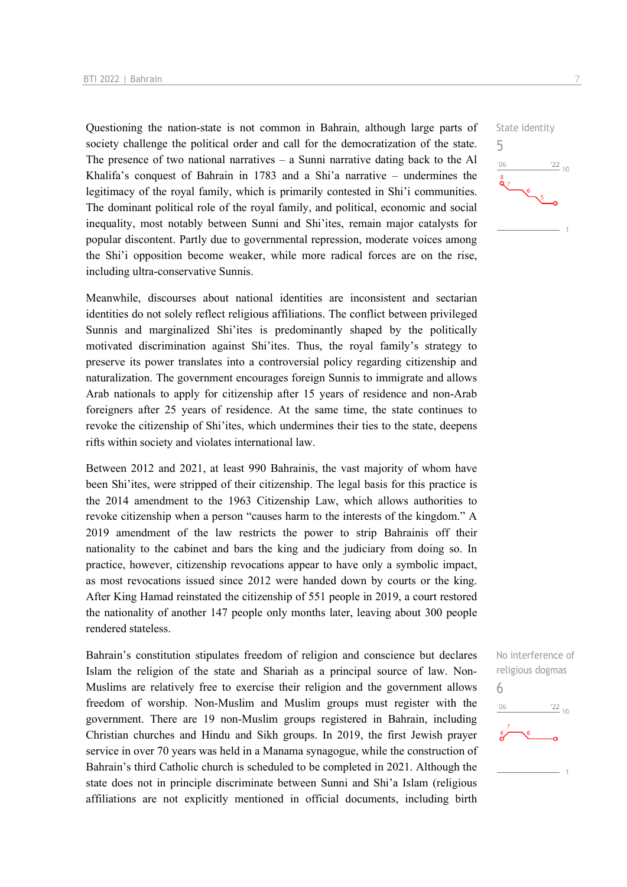Questioning the nation-state is not common in Bahrain, although large parts of society challenge the political order and call for the democratization of the state. The presence of two national narratives  $-$  a Sunni narrative dating back to the Al Khalifa's conquest of Bahrain in 1783 and a Shi'a narrative – undermines the legitimacy of the royal family, which is primarily contested in Shi'i communities. The dominant political role of the royal family, and political, economic and social inequality, most notably between Sunni and Shi'ites, remain major catalysts for popular discontent. Partly due to governmental repression, moderate voices among the Shi'i opposition become weaker, while more radical forces are on the rise, including ultra-conservative Sunnis.

Meanwhile, discourses about national identities are inconsistent and sectarian identities do not solely reflect religious affiliations. The conflict between privileged Sunnis and marginalized Shi'ites is predominantly shaped by the politically motivated discrimination against Shi'ites. Thus, the royal family's strategy to preserve its power translates into a controversial policy regarding citizenship and naturalization. The government encourages foreign Sunnis to immigrate and allows Arab nationals to apply for citizenship after 15 years of residence and non-Arab foreigners after 25 years of residence. At the same time, the state continues to revoke the citizenship of Shi'ites, which undermines their ties to the state, deepens rifts within society and violates international law.

Between 2012 and 2021, at least 990 Bahrainis, the vast majority of whom have been Shi'ites, were stripped of their citizenship. The legal basis for this practice is the 2014 amendment to the 1963 Citizenship Law, which allows authorities to revoke citizenship when a person "causes harm to the interests of the kingdom." A 2019 amendment of the law restricts the power to strip Bahrainis off their nationality to the cabinet and bars the king and the judiciary from doing so. In practice, however, citizenship revocations appear to have only a symbolic impact, as most revocations issued since 2012 were handed down by courts or the king. After King Hamad reinstated the citizenship of 551 people in 2019, a court restored the nationality of another 147 people only months later, leaving about 300 people rendered stateless.

Bahrain's constitution stipulates freedom of religion and conscience but declares Islam the religion of the state and Shariah as a principal source of law. Non-Muslims are relatively free to exercise their religion and the government allows freedom of worship. Non-Muslim and Muslim groups must register with the government. There are 19 non-Muslim groups registered in Bahrain, including Christian churches and Hindu and Sikh groups. In 2019, the first Jewish prayer service in over 70 years was held in a Manama synagogue, while the construction of Bahrain's third Catholic church is scheduled to be completed in 2021. Although the state does not in principle discriminate between Sunni and Shi'a Islam (religious affiliations are not explicitly mentioned in official documents, including birth



No interference of religious dogmas 6 $^{22}$  10 '06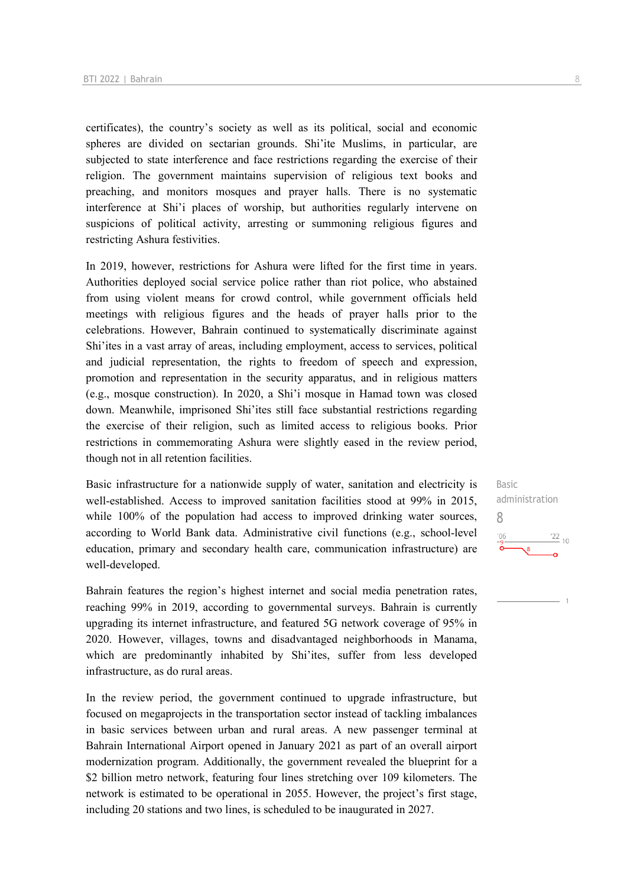certificates), the country's society as well as its political, social and economic spheres are divided on sectarian grounds. Shi'ite Muslims, in particular, are subjected to state interference and face restrictions regarding the exercise of their religion. The government maintains supervision of religious text books and preaching, and monitors mosques and prayer halls. There is no systematic interference at Shi'i places of worship, but authorities regularly intervene on suspicions of political activity, arresting or summoning religious figures and restricting Ashura festivities.

In 2019, however, restrictions for Ashura were lifted for the first time in years. Authorities deployed social service police rather than riot police, who abstained from using violent means for crowd control, while government officials held meetings with religious figures and the heads of prayer halls prior to the celebrations. However, Bahrain continued to systematically discriminate against Shi'ites in a vast array of areas, including employment, access to services, political and judicial representation, the rights to freedom of speech and expression, promotion and representation in the security apparatus, and in religious matters (e.g., mosque construction). In 2020, a Shi'i mosque in Hamad town was closed down. Meanwhile, imprisoned Shi'ites still face substantial restrictions regarding the exercise of their religion, such as limited access to religious books. Prior restrictions in commemorating Ashura were slightly eased in the review period, though not in all retention facilities.

Basic infrastructure for a nationwide supply of water, sanitation and electricity is well-established. Access to improved sanitation facilities stood at 99% in 2015, while 100% of the population had access to improved drinking water sources, according to World Bank data. Administrative civil functions (e.g., school-level education, primary and secondary health care, communication infrastructure) are well-developed.

Bahrain features the region's highest internet and social media penetration rates, reaching 99% in 2019, according to governmental surveys. Bahrain is currently upgrading its internet infrastructure, and featured 5G network coverage of 95% in 2020. However, villages, towns and disadvantaged neighborhoods in Manama, which are predominantly inhabited by Shi'ites, suffer from less developed infrastructure, as do rural areas.

In the review period, the government continued to upgrade infrastructure, but focused on megaprojects in the transportation sector instead of tackling imbalances in basic services between urban and rural areas. A new passenger terminal at Bahrain International Airport opened in January 2021 as part of an overall airport modernization program. Additionally, the government revealed the blueprint for a \$2 billion metro network, featuring four lines stretching over 109 kilometers. The network is estimated to be operational in 2055. However, the project's first stage, including 20 stations and two lines, is scheduled to be inaugurated in 2027.

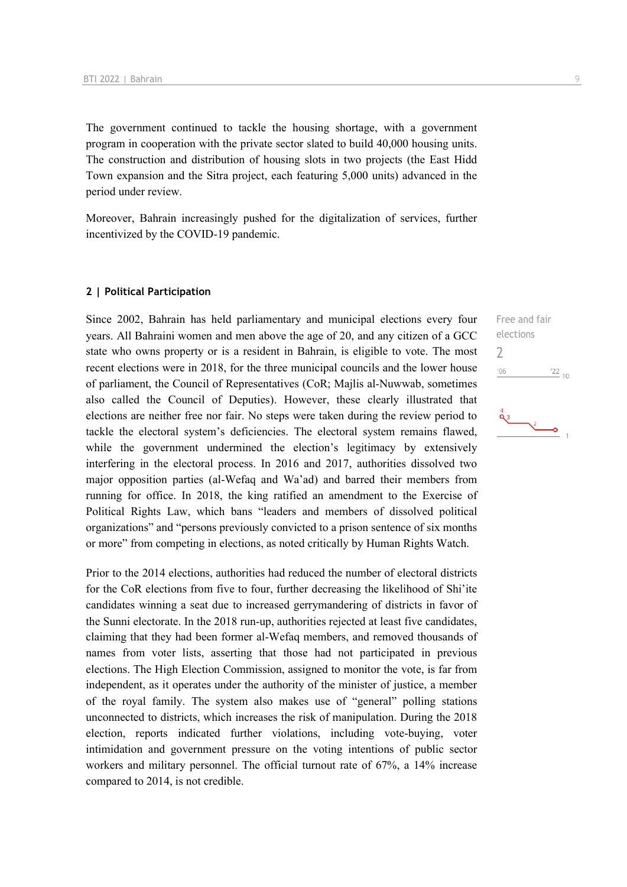The government continued to tackle the housing shortage, with a government program in cooperation with the private sector slated to build 40,000 housing units. The construction and distribution of housing slots in two projects (the East Hidd Town expansion and the Sitra project, each featuring 5,000 units) advanced in the period under review.

Moreover, Bahrain increasingly pushed for the digitalization of services, further incentivized by the COVID-19 pandemic.

#### **2 | Political Participation**

Since 2002, Bahrain has held parliamentary and municipal elections every four years. All Bahraini women and men above the age of 20, and any citizen of a GCC state who owns property or is a resident in Bahrain, is eligible to vote. The most recent elections were in 2018, for the three municipal councils and the lower house of parliament, the Council of Representatives (CoR; Majlis al-Nuwwab, sometimes also called the Council of Deputies). However, these clearly illustrated that elections are neither free nor fair. No steps were taken during the review period to tackle the electoral system's deficiencies. The electoral system remains flawed, while the government undermined the election's legitimacy by extensively interfering in the electoral process. In 2016 and 2017, authorities dissolved two major opposition parties (al-Wefaq and Wa'ad) and barred their members from running for office. In 2018, the king ratified an amendment to the Exercise of Political Rights Law, which bans "leaders and members of dissolved political organizations" and "persons previously convicted to a prison sentence of six months or more" from competing in elections, as noted critically by Human Rights Watch.

Prior to the 2014 elections, authorities had reduced the number of electoral districts for the CoR elections from five to four, further decreasing the likelihood of Shi'ite candidates winning a seat due to increased gerrymandering of districts in favor of the Sunni electorate. In the 2018 run-up, authorities rejected at least five candidates, claiming that they had been former al-Wefaq members, and removed thousands of names from voter lists, asserting that those had not participated in previous elections. The High Election Commission, assigned to monitor the vote, is far from independent, as it operates under the authority of the minister of justice, a member of the royal family. The system also makes use of "general" polling stations unconnected to districts, which increases the risk of manipulation. During the 2018 election, reports indicated further violations, including vote-buying, voter intimidation and government pressure on the voting intentions of public sector workers and military personnel. The official turnout rate of 67%, a 14% increase compared to 2014, is not credible.

Free and fair elections  $\frac{22}{10}$ 

2

 $^{\prime}06$ 

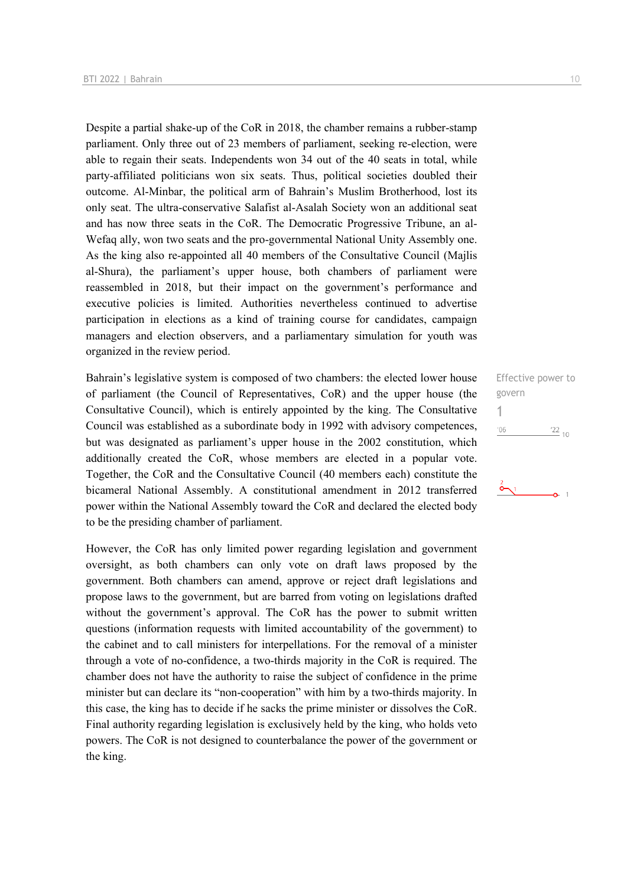Despite a partial shake-up of the CoR in 2018, the chamber remains a rubber-stamp parliament. Only three out of 23 members of parliament, seeking re-election, were able to regain their seats. Independents won 34 out of the 40 seats in total, while party-affiliated politicians won six seats. Thus, political societies doubled their outcome. Al-Minbar, the political arm of Bahrain's Muslim Brotherhood, lost its only seat. The ultra-conservative Salafist al-Asalah Society won an additional seat and has now three seats in the CoR. The Democratic Progressive Tribune, an al-Wefaq ally, won two seats and the pro-governmental National Unity Assembly one. As the king also re-appointed all 40 members of the Consultative Council (Majlis al-Shura), the parliament's upper house, both chambers of parliament were reassembled in 2018, but their impact on the government's performance and executive policies is limited. Authorities nevertheless continued to advertise participation in elections as a kind of training course for candidates, campaign managers and election observers, and a parliamentary simulation for youth was organized in the review period.

Bahrain's legislative system is composed of two chambers: the elected lower house of parliament (the Council of Representatives, CoR) and the upper house (the Consultative Council), which is entirely appointed by the king. The Consultative Council was established as a subordinate body in 1992 with advisory competences, but was designated as parliament's upper house in the 2002 constitution, which additionally created the CoR, whose members are elected in a popular vote. Together, the CoR and the Consultative Council (40 members each) constitute the bicameral National Assembly. A constitutional amendment in 2012 transferred power within the National Assembly toward the CoR and declared the elected body to be the presiding chamber of parliament.

However, the CoR has only limited power regarding legislation and government oversight, as both chambers can only vote on draft laws proposed by the government. Both chambers can amend, approve or reject draft legislations and propose laws to the government, but are barred from voting on legislations drafted without the government's approval. The CoR has the power to submit written questions (information requests with limited accountability of the government) to the cabinet and to call ministers for interpellations. For the removal of a minister through a vote of no-confidence, a two-thirds majority in the CoR is required. The chamber does not have the authority to raise the subject of confidence in the prime minister but can declare its "non-cooperation" with him by a two-thirds majority. In this case, the king has to decide if he sacks the prime minister or dissolves the CoR. Final authority regarding legislation is exclusively held by the king, who holds veto powers. The CoR is not designed to counterbalance the power of the government or the king.

Effective power to govern 1 $\frac{22}{10}$  $'06$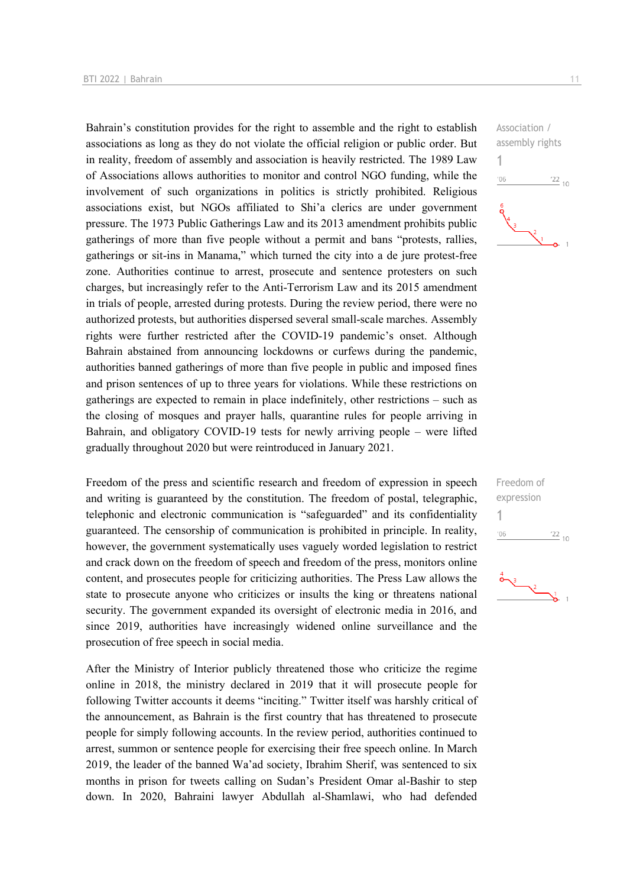Bahrain's constitution provides for the right to assemble and the right to establish associations as long as they do not violate the official religion or public order. But in reality, freedom of assembly and association is heavily restricted. The 1989 Law of Associations allows authorities to monitor and control NGO funding, while the involvement of such organizations in politics is strictly prohibited. Religious associations exist, but NGOs affiliated to Shi'a clerics are under government pressure. The 1973 Public Gatherings Law and its 2013 amendment prohibits public gatherings of more than five people without a permit and bans "protests, rallies, gatherings or sit-ins in Manama," which turned the city into a de jure protest-free zone. Authorities continue to arrest, prosecute and sentence protesters on such charges, but increasingly refer to the Anti-Terrorism Law and its 2015 amendment in trials of people, arrested during protests. During the review period, there were no authorized protests, but authorities dispersed several small-scale marches. Assembly rights were further restricted after the COVID-19 pandemic's onset. Although Bahrain abstained from announcing lockdowns or curfews during the pandemic, authorities banned gatherings of more than five people in public and imposed fines and prison sentences of up to three years for violations. While these restrictions on gatherings are expected to remain in place indefinitely, other restrictions – such as the closing of mosques and prayer halls, quarantine rules for people arriving in Bahrain, and obligatory COVID-19 tests for newly arriving people – were lifted gradually throughout 2020 but were reintroduced in January 2021.

Freedom of the press and scientific research and freedom of expression in speech and writing is guaranteed by the constitution. The freedom of postal, telegraphic, telephonic and electronic communication is "safeguarded" and its confidentiality guaranteed. The censorship of communication is prohibited in principle. In reality, however, the government systematically uses vaguely worded legislation to restrict and crack down on the freedom of speech and freedom of the press, monitors online content, and prosecutes people for criticizing authorities. The Press Law allows the state to prosecute anyone who criticizes or insults the king or threatens national security. The government expanded its oversight of electronic media in 2016, and since 2019, authorities have increasingly widened online surveillance and the prosecution of free speech in social media.

After the Ministry of Interior publicly threatened those who criticize the regime online in 2018, the ministry declared in 2019 that it will prosecute people for following Twitter accounts it deems "inciting." Twitter itself was harshly critical of the announcement, as Bahrain is the first country that has threatened to prosecute people for simply following accounts. In the review period, authorities continued to arrest, summon or sentence people for exercising their free speech online. In March 2019, the leader of the banned Wa'ad society, Ibrahim Sherif, was sentenced to six months in prison for tweets calling on Sudan's President Omar al-Bashir to step down. In 2020, Bahraini lawyer Abdullah al-Shamlawi, who had defended



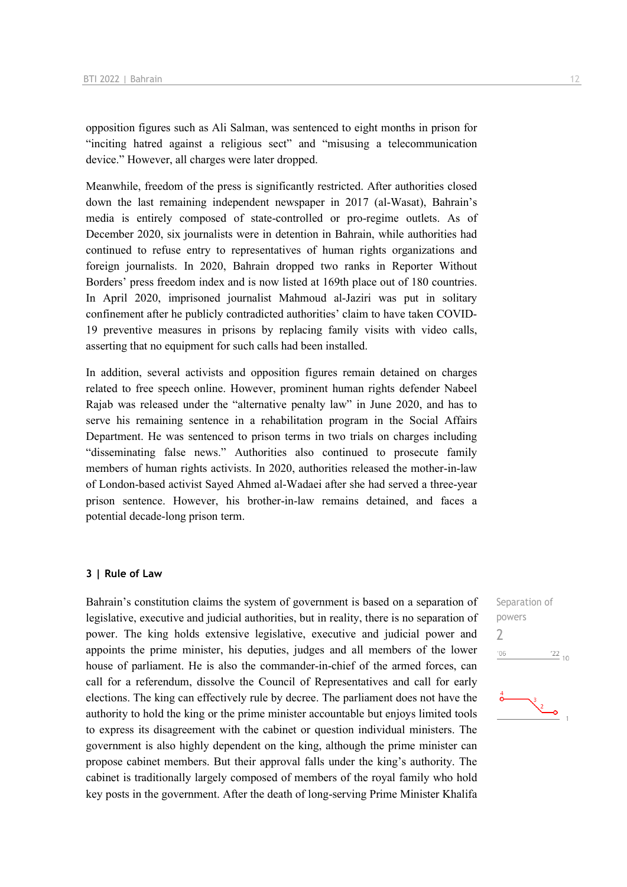opposition figures such as Ali Salman, was sentenced to eight months in prison for "inciting hatred against a religious sect" and "misusing a telecommunication device." However, all charges were later dropped.

Meanwhile, freedom of the press is significantly restricted. After authorities closed down the last remaining independent newspaper in 2017 (al-Wasat), Bahrain's media is entirely composed of state-controlled or pro-regime outlets. As of December 2020, six journalists were in detention in Bahrain, while authorities had continued to refuse entry to representatives of human rights organizations and foreign journalists. In 2020, Bahrain dropped two ranks in Reporter Without Borders' press freedom index and is now listed at 169th place out of 180 countries. In April 2020, imprisoned journalist Mahmoud al-Jaziri was put in solitary confinement after he publicly contradicted authorities' claim to have taken COVID-19 preventive measures in prisons by replacing family visits with video calls, asserting that no equipment for such calls had been installed.

In addition, several activists and opposition figures remain detained on charges related to free speech online. However, prominent human rights defender Nabeel Rajab was released under the "alternative penalty law" in June 2020, and has to serve his remaining sentence in a rehabilitation program in the Social Affairs Department. He was sentenced to prison terms in two trials on charges including "disseminating false news." Authorities also continued to prosecute family members of human rights activists. In 2020, authorities released the mother-in-law of London-based activist Sayed Ahmed al-Wadaei after she had served a three-year prison sentence. However, his brother-in-law remains detained, and faces a potential decade-long prison term.

### **3 | Rule of Law**

Bahrain's constitution claims the system of government is based on a separation of legislative, executive and judicial authorities, but in reality, there is no separation of power. The king holds extensive legislative, executive and judicial power and appoints the prime minister, his deputies, judges and all members of the lower house of parliament. He is also the commander-in-chief of the armed forces, can call for a referendum, dissolve the Council of Representatives and call for early elections. The king can effectively rule by decree. The parliament does not have the authority to hold the king or the prime minister accountable but enjoys limited tools to express its disagreement with the cabinet or question individual ministers. The government is also highly dependent on the king, although the prime minister can propose cabinet members. But their approval falls under the king's authority. The cabinet is traditionally largely composed of members of the royal family who hold key posts in the government. After the death of long-serving Prime Minister Khalifa

Separation of powers 2 $\frac{22}{10}$  $'06$ 

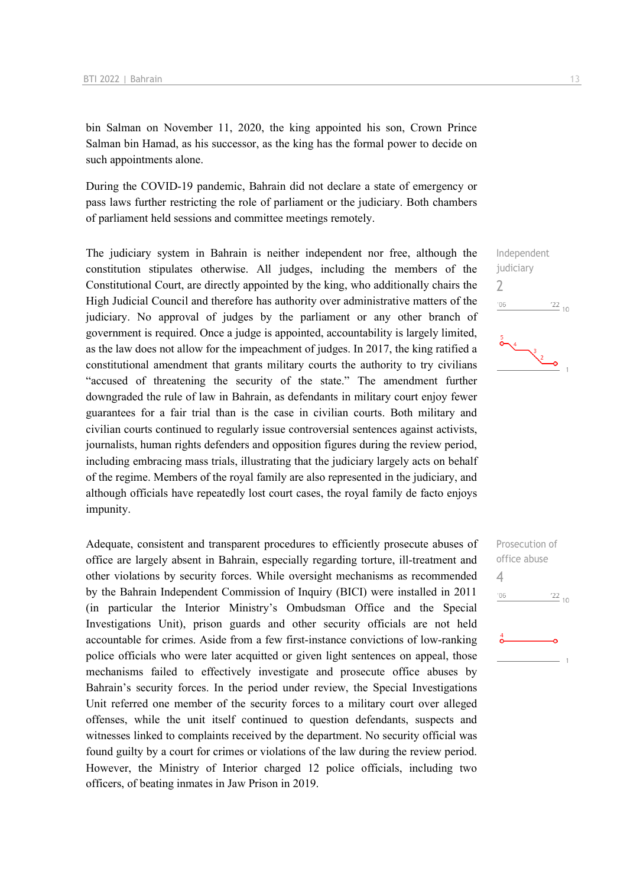bin Salman on November 11, 2020, the king appointed his son, Crown Prince Salman bin Hamad, as his successor, as the king has the formal power to decide on such appointments alone.

During the COVID-19 pandemic, Bahrain did not declare a state of emergency or pass laws further restricting the role of parliament or the judiciary. Both chambers of parliament held sessions and committee meetings remotely.

The judiciary system in Bahrain is neither independent nor free, although the constitution stipulates otherwise. All judges, including the members of the Constitutional Court, are directly appointed by the king, who additionally chairs the High Judicial Council and therefore has authority over administrative matters of the judiciary. No approval of judges by the parliament or any other branch of government is required. Once a judge is appointed, accountability is largely limited, as the law does not allow for the impeachment of judges. In 2017, the king ratified a constitutional amendment that grants military courts the authority to try civilians "accused of threatening the security of the state." The amendment further downgraded the rule of law in Bahrain, as defendants in military court enjoy fewer guarantees for a fair trial than is the case in civilian courts. Both military and civilian courts continued to regularly issue controversial sentences against activists, journalists, human rights defenders and opposition figures during the review period, including embracing mass trials, illustrating that the judiciary largely acts on behalf of the regime. Members of the royal family are also represented in the judiciary, and although officials have repeatedly lost court cases, the royal family de facto enjoys impunity.

Adequate, consistent and transparent procedures to efficiently prosecute abuses of office are largely absent in Bahrain, especially regarding torture, ill-treatment and other violations by security forces. While oversight mechanisms as recommended by the Bahrain Independent Commission of Inquiry (BICI) were installed in 2011 (in particular the Interior Ministry's Ombudsman Office and the Special Investigations Unit), prison guards and other security officials are not held accountable for crimes. Aside from a few first-instance convictions of low-ranking police officials who were later acquitted or given light sentences on appeal, those mechanisms failed to effectively investigate and prosecute office abuses by Bahrain's security forces. In the period under review, the Special Investigations Unit referred one member of the security forces to a military court over alleged offenses, while the unit itself continued to question defendants, suspects and witnesses linked to complaints received by the department. No security official was found guilty by a court for crimes or violations of the law during the review period. However, the Ministry of Interior charged 12 police officials, including two officers, of beating inmates in Jaw Prison in 2019.



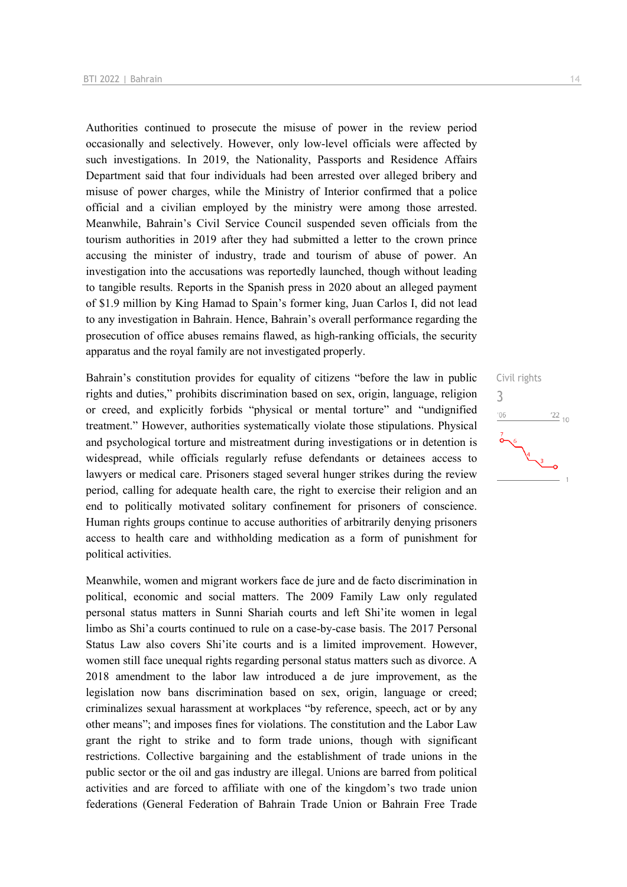Authorities continued to prosecute the misuse of power in the review period occasionally and selectively. However, only low-level officials were affected by such investigations. In 2019, the Nationality, Passports and Residence Affairs Department said that four individuals had been arrested over alleged bribery and misuse of power charges, while the Ministry of Interior confirmed that a police official and a civilian employed by the ministry were among those arrested. Meanwhile, Bahrain's Civil Service Council suspended seven officials from the tourism authorities in 2019 after they had submitted a letter to the crown prince accusing the minister of industry, trade and tourism of abuse of power. An investigation into the accusations was reportedly launched, though without leading to tangible results. Reports in the Spanish press in 2020 about an alleged payment of \$1.9 million by King Hamad to Spain's former king, Juan Carlos I, did not lead to any investigation in Bahrain. Hence, Bahrain's overall performance regarding the prosecution of office abuses remains flawed, as high-ranking officials, the security apparatus and the royal family are not investigated properly.

Bahrain's constitution provides for equality of citizens "before the law in public rights and duties," prohibits discrimination based on sex, origin, language, religion or creed, and explicitly forbids "physical or mental torture" and "undignified treatment." However, authorities systematically violate those stipulations. Physical and psychological torture and mistreatment during investigations or in detention is widespread, while officials regularly refuse defendants or detainees access to lawyers or medical care. Prisoners staged several hunger strikes during the review period, calling for adequate health care, the right to exercise their religion and an end to politically motivated solitary confinement for prisoners of conscience. Human rights groups continue to accuse authorities of arbitrarily denying prisoners access to health care and withholding medication as a form of punishment for political activities.

Meanwhile, women and migrant workers face de jure and de facto discrimination in political, economic and social matters. The 2009 Family Law only regulated personal status matters in Sunni Shariah courts and left Shi'ite women in legal limbo as Shi'a courts continued to rule on a case-by-case basis. The 2017 Personal Status Law also covers Shi'ite courts and is a limited improvement. However, women still face unequal rights regarding personal status matters such as divorce. A 2018 amendment to the labor law introduced a de jure improvement, as the legislation now bans discrimination based on sex, origin, language or creed; criminalizes sexual harassment at workplaces "by reference, speech, act or by any other means"; and imposes fines for violations. The constitution and the Labor Law grant the right to strike and to form trade unions, though with significant restrictions. Collective bargaining and the establishment of trade unions in the public sector or the oil and gas industry are illegal. Unions are barred from political activities and are forced to affiliate with one of the kingdom's two trade union federations (General Federation of Bahrain Trade Union or Bahrain Free Trade

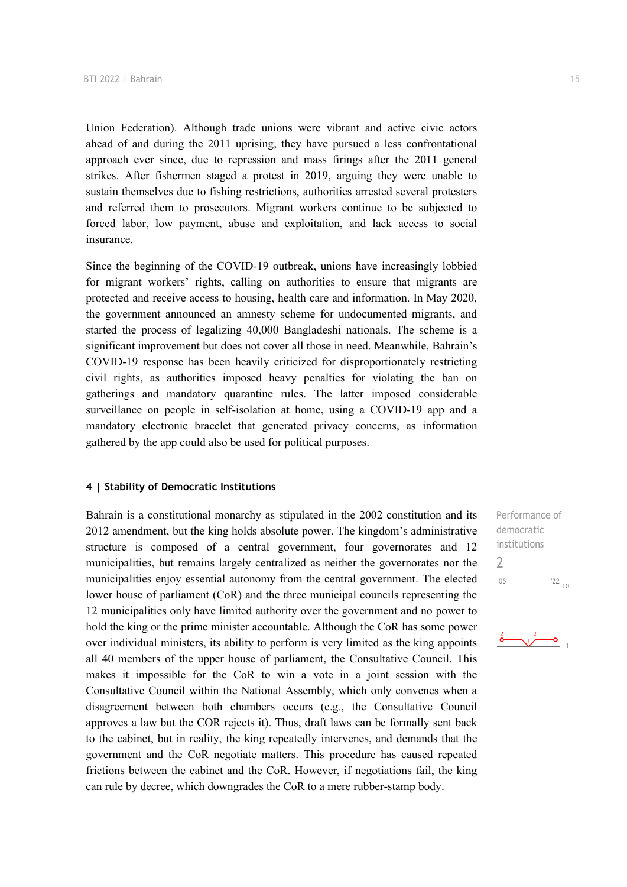Union Federation). Although trade unions were vibrant and active civic actors ahead of and during the 2011 uprising, they have pursued a less confrontational approach ever since, due to repression and mass firings after the 2011 general strikes. After fishermen staged a protest in 2019, arguing they were unable to sustain themselves due to fishing restrictions, authorities arrested several protesters and referred them to prosecutors. Migrant workers continue to be subjected to forced labor, low payment, abuse and exploitation, and lack access to social insurance.

Since the beginning of the COVID-19 outbreak, unions have increasingly lobbied for migrant workers' rights, calling on authorities to ensure that migrants are protected and receive access to housing, health care and information. In May 2020, the government announced an amnesty scheme for undocumented migrants, and started the process of legalizing 40,000 Bangladeshi nationals. The scheme is a significant improvement but does not cover all those in need. Meanwhile, Bahrain's COVID-19 response has been heavily criticized for disproportionately restricting civil rights, as authorities imposed heavy penalties for violating the ban on gatherings and mandatory quarantine rules. The latter imposed considerable surveillance on people in self-isolation at home, using a COVID-19 app and a mandatory electronic bracelet that generated privacy concerns, as information gathered by the app could also be used for political purposes.

### **4 | Stability of Democratic Institutions**

Bahrain is a constitutional monarchy as stipulated in the 2002 constitution and its 2012 amendment, but the king holds absolute power. The kingdom's administrative structure is composed of a central government, four governorates and 12 municipalities, but remains largely centralized as neither the governorates nor the municipalities enjoy essential autonomy from the central government. The elected lower house of parliament (CoR) and the three municipal councils representing the 12 municipalities only have limited authority over the government and no power to hold the king or the prime minister accountable. Although the CoR has some power over individual ministers, its ability to perform is very limited as the king appoints all 40 members of the upper house of parliament, the Consultative Council. This makes it impossible for the CoR to win a vote in a joint session with the Consultative Council within the National Assembly, which only convenes when a disagreement between both chambers occurs (e.g., the Consultative Council approves a law but the COR rejects it). Thus, draft laws can be formally sent back to the cabinet, but in reality, the king repeatedly intervenes, and demands that the government and the CoR negotiate matters. This procedure has caused repeated frictions between the cabinet and the CoR. However, if negotiations fail, the king can rule by decree, which downgrades the CoR to a mere rubber-stamp body.

Performance of democratic institutions  $\overline{\phantom{0}}$  $'06$  $\frac{22}{10}$ 

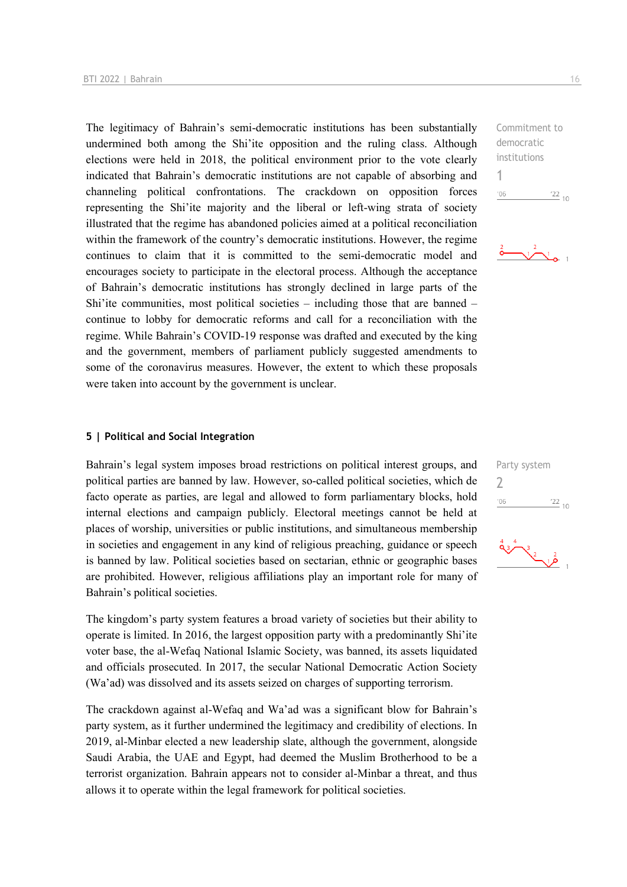The legitimacy of Bahrain's semi-democratic institutions has been substantially undermined both among the Shi'ite opposition and the ruling class. Although elections were held in 2018, the political environment prior to the vote clearly indicated that Bahrain's democratic institutions are not capable of absorbing and channeling political confrontations. The crackdown on opposition forces representing the Shi'ite majority and the liberal or left-wing strata of society illustrated that the regime has abandoned policies aimed at a political reconciliation within the framework of the country's democratic institutions. However, the regime continues to claim that it is committed to the semi-democratic model and encourages society to participate in the electoral process. Although the acceptance of Bahrain's democratic institutions has strongly declined in large parts of the Shi'ite communities, most political societies – including those that are banned – continue to lobby for democratic reforms and call for a reconciliation with the regime. While Bahrain's COVID-19 response was drafted and executed by the king and the government, members of parliament publicly suggested amendments to some of the coronavirus measures. However, the extent to which these proposals were taken into account by the government is unclear.

### **5 | Political and Social Integration**

Bahrain's legal system imposes broad restrictions on political interest groups, and political parties are banned by law. However, so-called political societies, which de facto operate as parties, are legal and allowed to form parliamentary blocks, hold internal elections and campaign publicly. Electoral meetings cannot be held at places of worship, universities or public institutions, and simultaneous membership in societies and engagement in any kind of religious preaching, guidance or speech is banned by law. Political societies based on sectarian, ethnic or geographic bases are prohibited. However, religious affiliations play an important role for many of Bahrain's political societies.

The kingdom's party system features a broad variety of societies but their ability to operate is limited. In 2016, the largest opposition party with a predominantly Shi'ite voter base, the al-Wefaq National Islamic Society, was banned, its assets liquidated and officials prosecuted. In 2017, the secular National Democratic Action Society (Wa'ad) was dissolved and its assets seized on charges of supporting terrorism.

The crackdown against al-Wefaq and Wa'ad was a significant blow for Bahrain's party system, as it further undermined the legitimacy and credibility of elections. In 2019, al-Minbar elected a new leadership slate, although the government, alongside Saudi Arabia, the UAE and Egypt, had deemed the Muslim Brotherhood to be a terrorist organization. Bahrain appears not to consider al-Minbar a threat, and thus allows it to operate within the legal framework for political societies.

Commitment to democratic institutions 1  $-06$  $\frac{22}{10}$ 





 $\frac{3}{2}$   $\frac{2}{10}$  1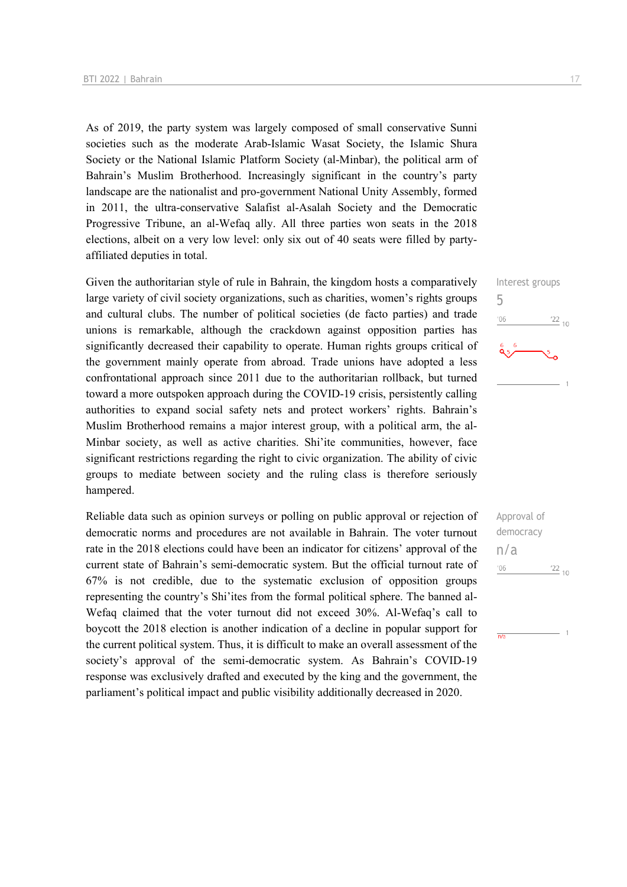As of 2019, the party system was largely composed of small conservative Sunni societies such as the moderate Arab-Islamic Wasat Society, the Islamic Shura Society or the National Islamic Platform Society (al-Minbar), the political arm of Bahrain's Muslim Brotherhood. Increasingly significant in the country's party landscape are the nationalist and pro-government National Unity Assembly, formed in 2011, the ultra-conservative Salafist al-Asalah Society and the Democratic Progressive Tribune, an al-Wefaq ally. All three parties won seats in the 2018 elections, albeit on a very low level: only six out of 40 seats were filled by partyaffiliated deputies in total.

Given the authoritarian style of rule in Bahrain, the kingdom hosts a comparatively large variety of civil society organizations, such as charities, women's rights groups and cultural clubs. The number of political societies (de facto parties) and trade unions is remarkable, although the crackdown against opposition parties has significantly decreased their capability to operate. Human rights groups critical of the government mainly operate from abroad. Trade unions have adopted a less confrontational approach since 2011 due to the authoritarian rollback, but turned toward a more outspoken approach during the COVID-19 crisis, persistently calling authorities to expand social safety nets and protect workers' rights. Bahrain's Muslim Brotherhood remains a major interest group, with a political arm, the al-Minbar society, as well as active charities. Shi'ite communities, however, face significant restrictions regarding the right to civic organization. The ability of civic groups to mediate between society and the ruling class is therefore seriously hampered.

Reliable data such as opinion surveys or polling on public approval or rejection of democratic norms and procedures are not available in Bahrain. The voter turnout rate in the 2018 elections could have been an indicator for citizens' approval of the current state of Bahrain's semi-democratic system. But the official turnout rate of 67% is not credible, due to the systematic exclusion of opposition groups representing the country's Shi'ites from the formal political sphere. The banned al-Wefaq claimed that the voter turnout did not exceed 30%. Al-Wefaq's call to boycott the 2018 election is another indication of a decline in popular support for the current political system. Thus, it is difficult to make an overall assessment of the society's approval of the semi-democratic system. As Bahrain's COVID-19 response was exclusively drafted and executed by the king and the government, the parliament's political impact and public visibility additionally decreased in 2020.

Interest groups 5  $06'$  $\frac{22}{10}$ 

Approval of democracy n/a $06'$  $^{22}$  10

 $\overline{N}$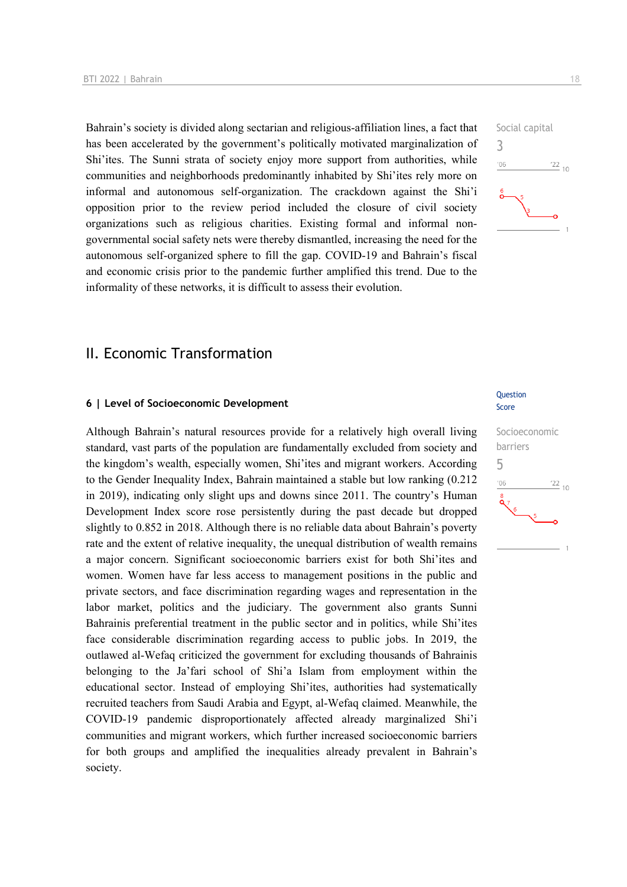Bahrain's society is divided along sectarian and religious-affiliation lines, a fact that has been accelerated by the government's politically motivated marginalization of Shi'ites. The Sunni strata of society enjoy more support from authorities, while communities and neighborhoods predominantly inhabited by Shi'ites rely more on informal and autonomous self-organization. The crackdown against the Shi'i opposition prior to the review period included the closure of civil society organizations such as religious charities. Existing formal and informal nongovernmental social safety nets were thereby dismantled, increasing the need for the autonomous self-organized sphere to fill the gap. COVID-19 and Bahrain's fiscal and economic crisis prior to the pandemic further amplified this trend. Due to the informality of these networks, it is difficult to assess their evolution.

## Social capital 3  $\frac{22}{10}$  $106$

## II. Economic Transformation

### **6 | Level of Socioeconomic Development**

Although Bahrain's natural resources provide for a relatively high overall living standard, vast parts of the population are fundamentally excluded from society and the kingdom's wealth, especially women, Shi'ites and migrant workers. According to the Gender Inequality Index, Bahrain maintained a stable but low ranking (0.212 in 2019), indicating only slight ups and downs since 2011. The country's Human Development Index score rose persistently during the past decade but dropped slightly to 0.852 in 2018. Although there is no reliable data about Bahrain's poverty rate and the extent of relative inequality, the unequal distribution of wealth remains a major concern. Significant socioeconomic barriers exist for both Shi'ites and women. Women have far less access to management positions in the public and private sectors, and face discrimination regarding wages and representation in the labor market, politics and the judiciary. The government also grants Sunni Bahrainis preferential treatment in the public sector and in politics, while Shi'ites face considerable discrimination regarding access to public jobs. In 2019, the outlawed al-Wefaq criticized the government for excluding thousands of Bahrainis belonging to the Ja'fari school of Shi'a Islam from employment within the educational sector. Instead of employing Shi'ites, authorities had systematically recruited teachers from Saudi Arabia and Egypt, al-Wefaq claimed. Meanwhile, the COVID-19 pandemic disproportionately affected already marginalized Shi'i communities and migrant workers, which further increased socioeconomic barriers for both groups and amplified the inequalities already prevalent in Bahrain's society.

### **Question** Score

## Socioeconomic barriers 5 $\frac{22}{10}$  $n<sub>6</sub>$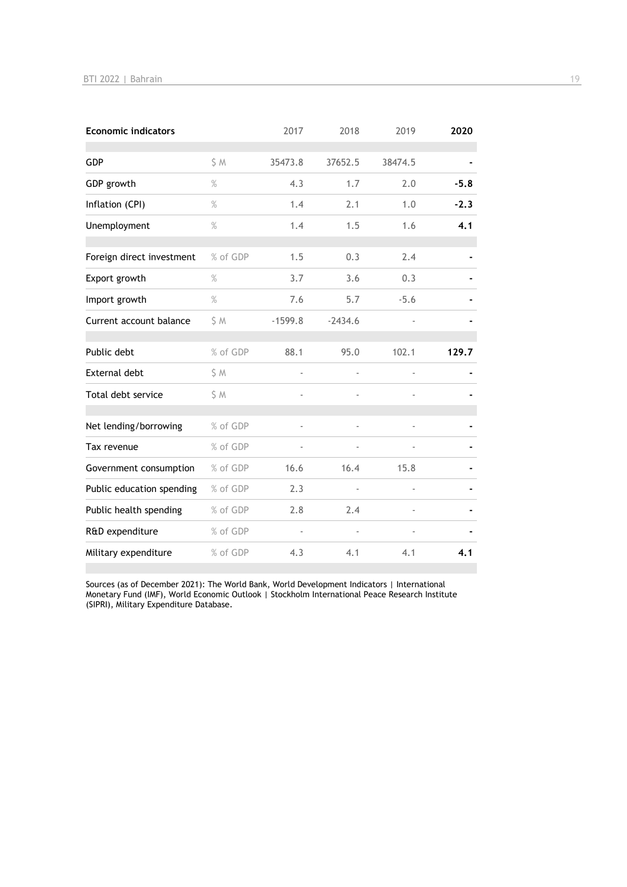| <b>Economic indicators</b> |          | 2017           | 2018      | 2019           | 2020   |
|----------------------------|----------|----------------|-----------|----------------|--------|
| GDP                        | S M      | 35473.8        | 37652.5   | 38474.5        |        |
| GDP growth                 | $\%$     | 4.3            | 1.7       | 2.0            | $-5.8$ |
| Inflation (CPI)            | $\%$     | 1.4            | 2.1       | 1.0            | $-2.3$ |
| Unemployment               | $\%$     | 1.4            | 1.5       | 1.6            | 4.1    |
| Foreign direct investment  | % of GDP | 1.5            | 0.3       | 2.4            |        |
| Export growth              | $\%$     | 3.7            | 3.6       | 0.3            |        |
| Import growth              | $\%$     | 7.6            | 5.7       | $-5.6$         |        |
| Current account balance    | S M      | $-1599.8$      | $-2434.6$ |                |        |
| Public debt                | % of GDP | 88.1           | 95.0      | 102.1          | 129.7  |
| <b>External debt</b>       | S M      |                |           |                |        |
| Total debt service         | S M      | ä,             |           |                |        |
| Net lending/borrowing      | % of GDP |                |           |                |        |
| Tax revenue                | % of GDP |                |           |                |        |
| Government consumption     | % of GDP | 16.6           | 16.4      | 15.8           |        |
| Public education spending  | % of GDP | 2.3            |           | $\overline{a}$ |        |
| Public health spending     | % of GDP | 2.8            | 2.4       |                |        |
| R&D expenditure            | % of GDP | $\blacksquare$ |           |                |        |
| Military expenditure       | % of GDP | 4.3            | 4.1       | 4.1            | 4.1    |

Sources (as of December 2021): The World Bank, World Development Indicators | International Monetary Fund (IMF), World Economic Outlook | Stockholm International Peace Research Institute (SIPRI), Military Expenditure Database.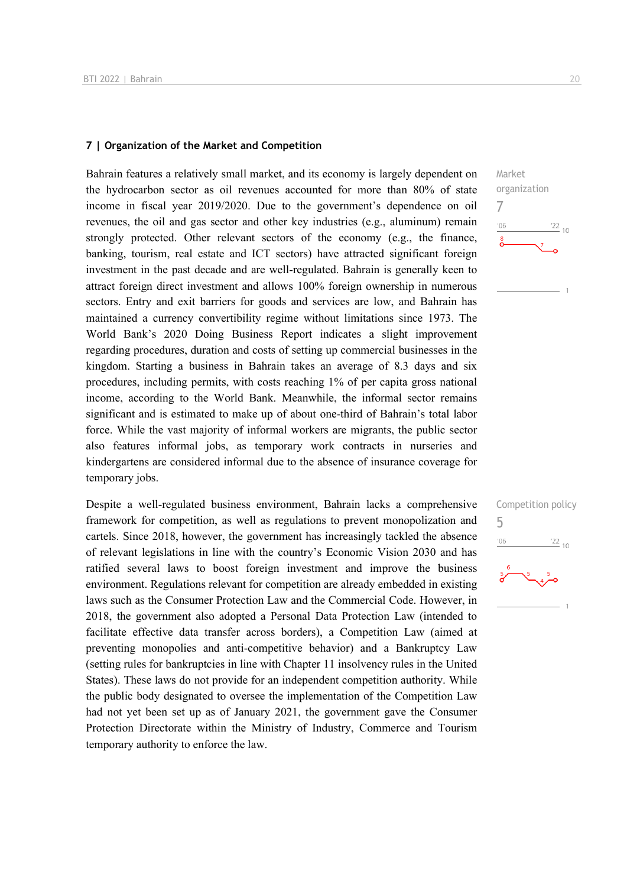### **7 | Organization of the Market and Competition**

Bahrain features a relatively small market, and its economy is largely dependent on the hydrocarbon sector as oil revenues accounted for more than 80% of state income in fiscal year 2019/2020. Due to the government's dependence on oil revenues, the oil and gas sector and other key industries (e.g., aluminum) remain strongly protected. Other relevant sectors of the economy (e.g., the finance, banking, tourism, real estate and ICT sectors) have attracted significant foreign investment in the past decade and are well-regulated. Bahrain is generally keen to attract foreign direct investment and allows 100% foreign ownership in numerous sectors. Entry and exit barriers for goods and services are low, and Bahrain has maintained a currency convertibility regime without limitations since 1973. The World Bank's 2020 Doing Business Report indicates a slight improvement regarding procedures, duration and costs of setting up commercial businesses in the kingdom. Starting a business in Bahrain takes an average of 8.3 days and six procedures, including permits, with costs reaching 1% of per capita gross national income, according to the World Bank. Meanwhile, the informal sector remains significant and is estimated to make up of about one-third of Bahrain's total labor force. While the vast majority of informal workers are migrants, the public sector also features informal jobs, as temporary work contracts in nurseries and kindergartens are considered informal due to the absence of insurance coverage for temporary jobs.

Despite a well-regulated business environment, Bahrain lacks a comprehensive framework for competition, as well as regulations to prevent monopolization and cartels. Since 2018, however, the government has increasingly tackled the absence of relevant legislations in line with the country's Economic Vision 2030 and has ratified several laws to boost foreign investment and improve the business environment. Regulations relevant for competition are already embedded in existing laws such as the Consumer Protection Law and the Commercial Code. However, in 2018, the government also adopted a Personal Data Protection Law (intended to facilitate effective data transfer across borders), a Competition Law (aimed at preventing monopolies and anti-competitive behavior) and a Bankruptcy Law (setting rules for bankruptcies in line with Chapter 11 insolvency rules in the United States). These laws do not provide for an independent competition authority. While the public body designated to oversee the implementation of the Competition Law had not yet been set up as of January 2021, the government gave the Consumer Protection Directorate within the Ministry of Industry, Commerce and Tourism temporary authority to enforce the law.



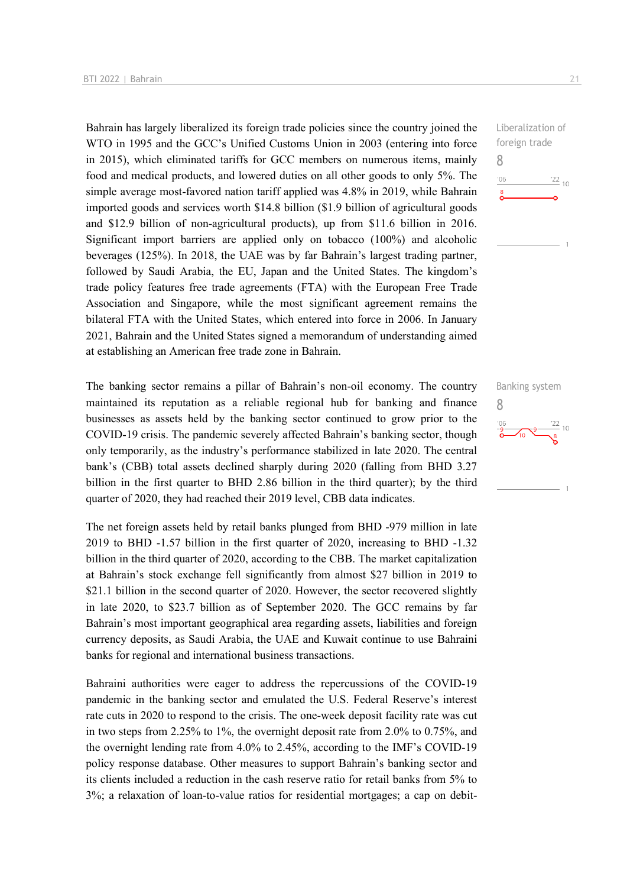Bahrain has largely liberalized its foreign trade policies since the country joined the WTO in 1995 and the GCC's Unified Customs Union in 2003 (entering into force in 2015), which eliminated tariffs for GCC members on numerous items, mainly food and medical products, and lowered duties on all other goods to only 5%. The simple average most-favored nation tariff applied was 4.8% in 2019, while Bahrain imported goods and services worth \$14.8 billion (\$1.9 billion of agricultural goods and \$12.9 billion of non-agricultural products), up from \$11.6 billion in 2016. Significant import barriers are applied only on tobacco (100%) and alcoholic beverages (125%). In 2018, the UAE was by far Bahrain's largest trading partner, followed by Saudi Arabia, the EU, Japan and the United States. The kingdom's trade policy features free trade agreements (FTA) with the European Free Trade Association and Singapore, while the most significant agreement remains the bilateral FTA with the United States, which entered into force in 2006. In January 2021, Bahrain and the United States signed a memorandum of understanding aimed at establishing an American free trade zone in Bahrain.

The banking sector remains a pillar of Bahrain's non-oil economy. The country maintained its reputation as a reliable regional hub for banking and finance businesses as assets held by the banking sector continued to grow prior to the COVID-19 crisis. The pandemic severely affected Bahrain's banking sector, though only temporarily, as the industry's performance stabilized in late 2020. The central bank's (CBB) total assets declined sharply during 2020 (falling from BHD 3.27 billion in the first quarter to BHD 2.86 billion in the third quarter); by the third quarter of 2020, they had reached their 2019 level, CBB data indicates.

The net foreign assets held by retail banks plunged from BHD -979 million in late 2019 to BHD -1.57 billion in the first quarter of 2020, increasing to BHD -1.32 billion in the third quarter of 2020, according to the CBB. The market capitalization at Bahrain's stock exchange fell significantly from almost \$27 billion in 2019 to \$21.1 billion in the second quarter of 2020. However, the sector recovered slightly in late 2020, to \$23.7 billion as of September 2020. The GCC remains by far Bahrain's most important geographical area regarding assets, liabilities and foreign currency deposits, as Saudi Arabia, the UAE and Kuwait continue to use Bahraini banks for regional and international business transactions.

Bahraini authorities were eager to address the repercussions of the COVID-19 pandemic in the banking sector and emulated the U.S. Federal Reserve's interest rate cuts in 2020 to respond to the crisis. The one-week deposit facility rate was cut in two steps from 2.25% to 1%, the overnight deposit rate from 2.0% to 0.75%, and the overnight lending rate from 4.0% to 2.45%, according to the IMF's COVID-19 policy response database. Other measures to support Bahrain's banking sector and its clients included a reduction in the cash reserve ratio for retail banks from 5% to 3%; a relaxation of loan-to-value ratios for residential mortgages; a cap on debit-



Banking system 8 $\frac{22}{8}$  10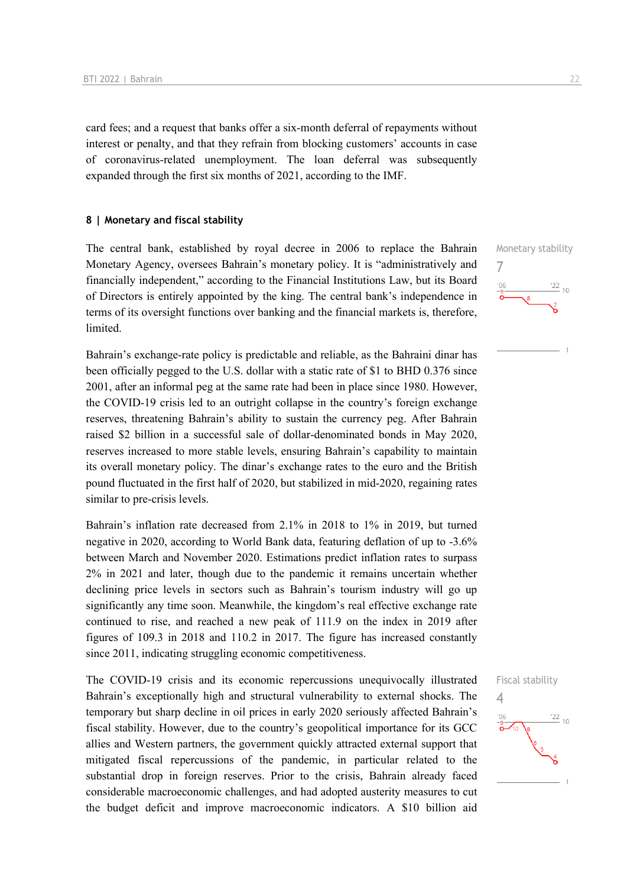card fees; and a request that banks offer a six-month deferral of repayments without interest or penalty, and that they refrain from blocking customers' accounts in case of coronavirus-related unemployment. The loan deferral was subsequently expanded through the first six months of 2021, according to the IMF.

### **8 | Monetary and fiscal stability**

The central bank, established by royal decree in 2006 to replace the Bahrain Monetary Agency, oversees Bahrain's monetary policy. It is "administratively and financially independent," according to the Financial Institutions Law, but its Board of Directors is entirely appointed by the king. The central bank's independence in terms of its oversight functions over banking and the financial markets is, therefore, limited.

Bahrain's exchange-rate policy is predictable and reliable, as the Bahraini dinar has been officially pegged to the U.S. dollar with a static rate of \$1 to BHD 0.376 since 2001, after an informal peg at the same rate had been in place since 1980. However, the COVID-19 crisis led to an outright collapse in the country's foreign exchange reserves, threatening Bahrain's ability to sustain the currency peg. After Bahrain raised \$2 billion in a successful sale of dollar-denominated bonds in May 2020, reserves increased to more stable levels, ensuring Bahrain's capability to maintain its overall monetary policy. The dinar's exchange rates to the euro and the British pound fluctuated in the first half of 2020, but stabilized in mid-2020, regaining rates similar to pre-crisis levels.

Bahrain's inflation rate decreased from 2.1% in 2018 to 1% in 2019, but turned negative in 2020, according to World Bank data, featuring deflation of up to -3.6% between March and November 2020. Estimations predict inflation rates to surpass 2% in 2021 and later, though due to the pandemic it remains uncertain whether declining price levels in sectors such as Bahrain's tourism industry will go up significantly any time soon. Meanwhile, the kingdom's real effective exchange rate continued to rise, and reached a new peak of 111.9 on the index in 2019 after figures of 109.3 in 2018 and 110.2 in 2017. The figure has increased constantly since 2011, indicating struggling economic competitiveness.

The COVID-19 crisis and its economic repercussions unequivocally illustrated Bahrain's exceptionally high and structural vulnerability to external shocks. The temporary but sharp decline in oil prices in early 2020 seriously affected Bahrain's fiscal stability. However, due to the country's geopolitical importance for its GCC allies and Western partners, the government quickly attracted external support that mitigated fiscal repercussions of the pandemic, in particular related to the substantial drop in foreign reserves. Prior to the crisis, Bahrain already faced considerable macroeconomic challenges, and had adopted austerity measures to cut the budget deficit and improve macroeconomic indicators. A \$10 billion aid

Monetary stability 7  $\frac{22}{10}$ 



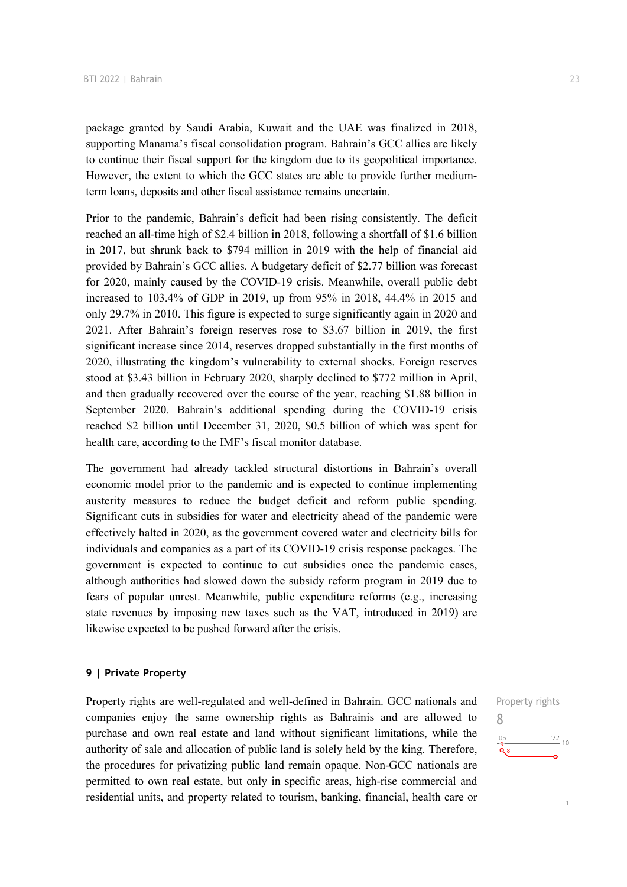package granted by Saudi Arabia, Kuwait and the UAE was finalized in 2018, supporting Manama's fiscal consolidation program. Bahrain's GCC allies are likely to continue their fiscal support for the kingdom due to its geopolitical importance. However, the extent to which the GCC states are able to provide further mediumterm loans, deposits and other fiscal assistance remains uncertain.

Prior to the pandemic, Bahrain's deficit had been rising consistently. The deficit reached an all-time high of \$2.4 billion in 2018, following a shortfall of \$1.6 billion in 2017, but shrunk back to \$794 million in 2019 with the help of financial aid provided by Bahrain's GCC allies. A budgetary deficit of \$2.77 billion was forecast for 2020, mainly caused by the COVID-19 crisis. Meanwhile, overall public debt increased to 103.4% of GDP in 2019, up from 95% in 2018, 44.4% in 2015 and only 29.7% in 2010. This figure is expected to surge significantly again in 2020 and 2021. After Bahrain's foreign reserves rose to \$3.67 billion in 2019, the first significant increase since 2014, reserves dropped substantially in the first months of 2020, illustrating the kingdom's vulnerability to external shocks. Foreign reserves stood at \$3.43 billion in February 2020, sharply declined to \$772 million in April, and then gradually recovered over the course of the year, reaching \$1.88 billion in September 2020. Bahrain's additional spending during the COVID-19 crisis reached \$2 billion until December 31, 2020, \$0.5 billion of which was spent for health care, according to the IMF's fiscal monitor database.

The government had already tackled structural distortions in Bahrain's overall economic model prior to the pandemic and is expected to continue implementing austerity measures to reduce the budget deficit and reform public spending. Significant cuts in subsidies for water and electricity ahead of the pandemic were effectively halted in 2020, as the government covered water and electricity bills for individuals and companies as a part of its COVID-19 crisis response packages. The government is expected to continue to cut subsidies once the pandemic eases, although authorities had slowed down the subsidy reform program in 2019 due to fears of popular unrest. Meanwhile, public expenditure reforms (e.g., increasing state revenues by imposing new taxes such as the VAT, introduced in 2019) are likewise expected to be pushed forward after the crisis.

### **9 | Private Property**

Property rights are well-regulated and well-defined in Bahrain. GCC nationals and companies enjoy the same ownership rights as Bahrainis and are allowed to purchase and own real estate and land without significant limitations, while the authority of sale and allocation of public land is solely held by the king. Therefore, the procedures for privatizing public land remain opaque. Non-GCC nationals are permitted to own real estate, but only in specific areas, high-rise commercial and residential units, and property related to tourism, banking, financial, health care or

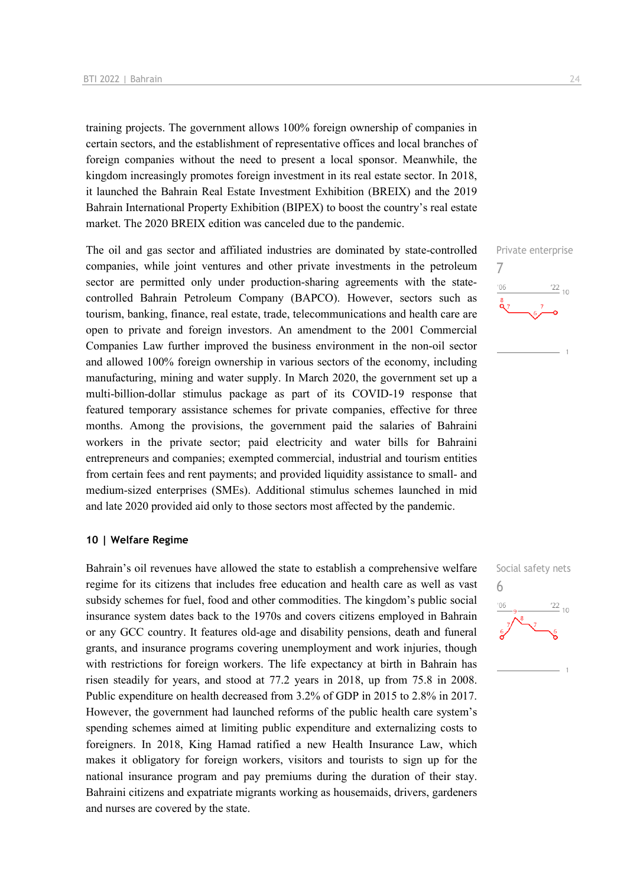training projects. The government allows 100% foreign ownership of companies in certain sectors, and the establishment of representative offices and local branches of foreign companies without the need to present a local sponsor. Meanwhile, the kingdom increasingly promotes foreign investment in its real estate sector. In 2018, it launched the Bahrain Real Estate Investment Exhibition (BREIX) and the 2019 Bahrain International Property Exhibition (BIPEX) to boost the country's real estate market. The 2020 BREIX edition was canceled due to the pandemic.

The oil and gas sector and affiliated industries are dominated by state-controlled companies, while joint ventures and other private investments in the petroleum sector are permitted only under production-sharing agreements with the statecontrolled Bahrain Petroleum Company (BAPCO). However, sectors such as tourism, banking, finance, real estate, trade, telecommunications and health care are open to private and foreign investors. An amendment to the 2001 Commercial Companies Law further improved the business environment in the non-oil sector and allowed 100% foreign ownership in various sectors of the economy, including manufacturing, mining and water supply. In March 2020, the government set up a multi-billion-dollar stimulus package as part of its COVID-19 response that featured temporary assistance schemes for private companies, effective for three months. Among the provisions, the government paid the salaries of Bahraini workers in the private sector; paid electricity and water bills for Bahraini entrepreneurs and companies; exempted commercial, industrial and tourism entities from certain fees and rent payments; and provided liquidity assistance to small- and medium-sized enterprises (SMEs). Additional stimulus schemes launched in mid and late 2020 provided aid only to those sectors most affected by the pandemic.

### **10 | Welfare Regime**

Bahrain's oil revenues have allowed the state to establish a comprehensive welfare regime for its citizens that includes free education and health care as well as vast subsidy schemes for fuel, food and other commodities. The kingdom's public social insurance system dates back to the 1970s and covers citizens employed in Bahrain or any GCC country. It features old-age and disability pensions, death and funeral grants, and insurance programs covering unemployment and work injuries, though with restrictions for foreign workers. The life expectancy at birth in Bahrain has risen steadily for years, and stood at 77.2 years in 2018, up from 75.8 in 2008. Public expenditure on health decreased from 3.2% of GDP in 2015 to 2.8% in 2017. However, the government had launched reforms of the public health care system's spending schemes aimed at limiting public expenditure and externalizing costs to foreigners. In 2018, King Hamad ratified a new Health Insurance Law, which makes it obligatory for foreign workers, visitors and tourists to sign up for the national insurance program and pay premiums during the duration of their stay. Bahraini citizens and expatriate migrants working as housemaids, drivers, gardeners and nurses are covered by the state.



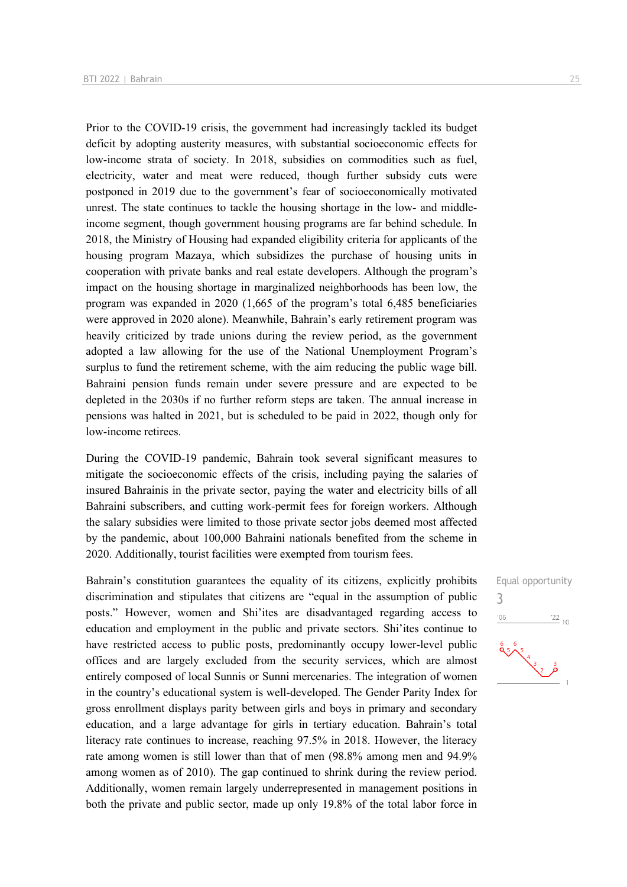Prior to the COVID-19 crisis, the government had increasingly tackled its budget deficit by adopting austerity measures, with substantial socioeconomic effects for low-income strata of society. In 2018, subsidies on commodities such as fuel, electricity, water and meat were reduced, though further subsidy cuts were postponed in 2019 due to the government's fear of socioeconomically motivated unrest. The state continues to tackle the housing shortage in the low- and middleincome segment, though government housing programs are far behind schedule. In 2018, the Ministry of Housing had expanded eligibility criteria for applicants of the housing program Mazaya, which subsidizes the purchase of housing units in cooperation with private banks and real estate developers. Although the program's impact on the housing shortage in marginalized neighborhoods has been low, the program was expanded in 2020 (1,665 of the program's total 6,485 beneficiaries were approved in 2020 alone). Meanwhile, Bahrain's early retirement program was heavily criticized by trade unions during the review period, as the government adopted a law allowing for the use of the National Unemployment Program's surplus to fund the retirement scheme, with the aim reducing the public wage bill. Bahraini pension funds remain under severe pressure and are expected to be depleted in the 2030s if no further reform steps are taken. The annual increase in pensions was halted in 2021, but is scheduled to be paid in 2022, though only for low-income retirees.

During the COVID-19 pandemic, Bahrain took several significant measures to mitigate the socioeconomic effects of the crisis, including paying the salaries of insured Bahrainis in the private sector, paying the water and electricity bills of all Bahraini subscribers, and cutting work-permit fees for foreign workers. Although the salary subsidies were limited to those private sector jobs deemed most affected by the pandemic, about 100,000 Bahraini nationals benefited from the scheme in 2020. Additionally, tourist facilities were exempted from tourism fees.

Bahrain's constitution guarantees the equality of its citizens, explicitly prohibits discrimination and stipulates that citizens are "equal in the assumption of public posts." However, women and Shi'ites are disadvantaged regarding access to education and employment in the public and private sectors. Shi'ites continue to have restricted access to public posts, predominantly occupy lower-level public offices and are largely excluded from the security services, which are almost entirely composed of local Sunnis or Sunni mercenaries. The integration of women in the country's educational system is well-developed. The Gender Parity Index for gross enrollment displays parity between girls and boys in primary and secondary education, and a large advantage for girls in tertiary education. Bahrain's total literacy rate continues to increase, reaching 97.5% in 2018. However, the literacy rate among women is still lower than that of men (98.8% among men and 94.9% among women as of 2010). The gap continued to shrink during the review period. Additionally, women remain largely underrepresented in management positions in both the private and public sector, made up only 19.8% of the total labor force in

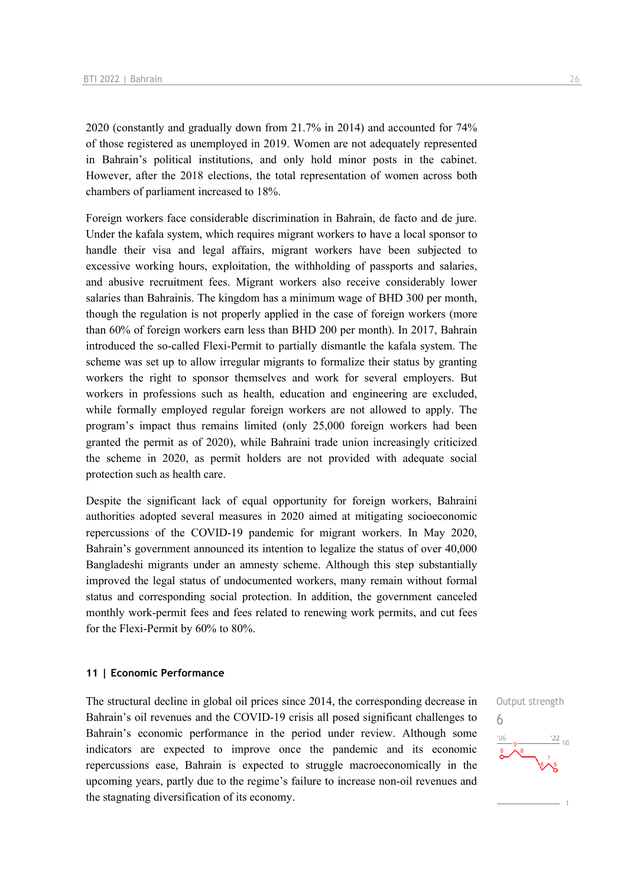2020 (constantly and gradually down from 21.7% in 2014) and accounted for 74% of those registered as unemployed in 2019. Women are not adequately represented in Bahrain's political institutions, and only hold minor posts in the cabinet. However, after the 2018 elections, the total representation of women across both chambers of parliament increased to 18%.

Foreign workers face considerable discrimination in Bahrain, de facto and de jure. Under the kafala system, which requires migrant workers to have a local sponsor to handle their visa and legal affairs, migrant workers have been subjected to excessive working hours, exploitation, the withholding of passports and salaries, and abusive recruitment fees. Migrant workers also receive considerably lower salaries than Bahrainis. The kingdom has a minimum wage of BHD 300 per month, though the regulation is not properly applied in the case of foreign workers (more than 60% of foreign workers earn less than BHD 200 per month). In 2017, Bahrain introduced the so-called Flexi-Permit to partially dismantle the kafala system. The scheme was set up to allow irregular migrants to formalize their status by granting workers the right to sponsor themselves and work for several employers. But workers in professions such as health, education and engineering are excluded, while formally employed regular foreign workers are not allowed to apply. The program's impact thus remains limited (only 25,000 foreign workers had been granted the permit as of 2020), while Bahraini trade union increasingly criticized the scheme in 2020, as permit holders are not provided with adequate social protection such as health care.

Despite the significant lack of equal opportunity for foreign workers, Bahraini authorities adopted several measures in 2020 aimed at mitigating socioeconomic repercussions of the COVID-19 pandemic for migrant workers. In May 2020, Bahrain's government announced its intention to legalize the status of over 40,000 Bangladeshi migrants under an amnesty scheme. Although this step substantially improved the legal status of undocumented workers, many remain without formal status and corresponding social protection. In addition, the government canceled monthly work-permit fees and fees related to renewing work permits, and cut fees for the Flexi-Permit by 60% to 80%.

### **11 | Economic Performance**

The structural decline in global oil prices since 2014, the corresponding decrease in Bahrain's oil revenues and the COVID-19 crisis all posed significant challenges to Bahrain's economic performance in the period under review. Although some indicators are expected to improve once the pandemic and its economic repercussions ease, Bahrain is expected to struggle macroeconomically in the upcoming years, partly due to the regime's failure to increase non-oil revenues and the stagnating diversification of its economy.

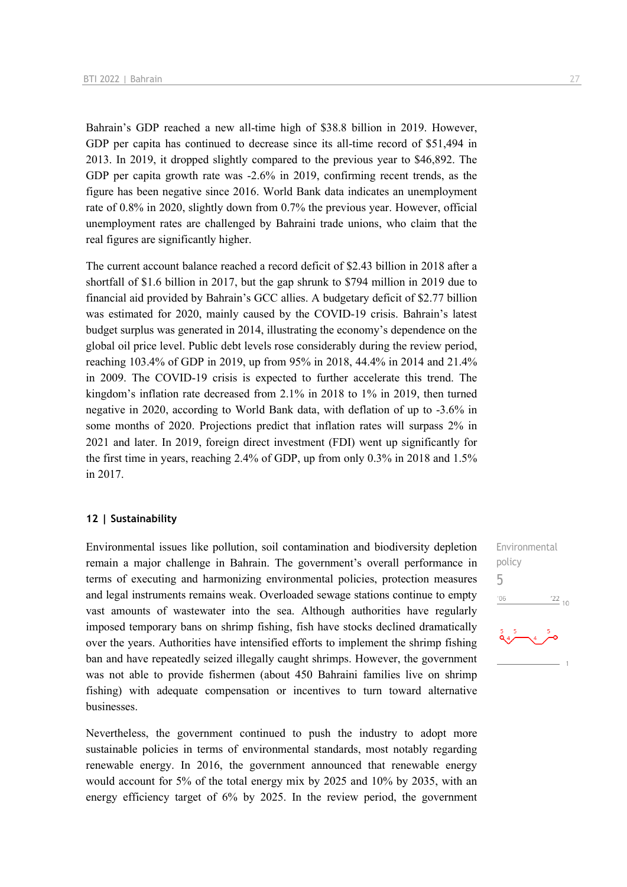Bahrain's GDP reached a new all-time high of \$38.8 billion in 2019. However, GDP per capita has continued to decrease since its all-time record of \$51,494 in 2013. In 2019, it dropped slightly compared to the previous year to \$46,892. The GDP per capita growth rate was -2.6% in 2019, confirming recent trends, as the figure has been negative since 2016. World Bank data indicates an unemployment rate of 0.8% in 2020, slightly down from 0.7% the previous year. However, official unemployment rates are challenged by Bahraini trade unions, who claim that the real figures are significantly higher.

The current account balance reached a record deficit of \$2.43 billion in 2018 after a shortfall of \$1.6 billion in 2017, but the gap shrunk to \$794 million in 2019 due to financial aid provided by Bahrain's GCC allies. A budgetary deficit of \$2.77 billion was estimated for 2020, mainly caused by the COVID-19 crisis. Bahrain's latest budget surplus was generated in 2014, illustrating the economy's dependence on the global oil price level. Public debt levels rose considerably during the review period, reaching 103.4% of GDP in 2019, up from 95% in 2018, 44.4% in 2014 and 21.4% in 2009. The COVID-19 crisis is expected to further accelerate this trend. The kingdom's inflation rate decreased from 2.1% in 2018 to 1% in 2019, then turned negative in 2020, according to World Bank data, with deflation of up to -3.6% in some months of 2020. Projections predict that inflation rates will surpass 2% in 2021 and later. In 2019, foreign direct investment (FDI) went up significantly for the first time in years, reaching 2.4% of GDP, up from only 0.3% in 2018 and 1.5% in 2017.

### **12 | Sustainability**

Environmental issues like pollution, soil contamination and biodiversity depletion remain a major challenge in Bahrain. The government's overall performance in terms of executing and harmonizing environmental policies, protection measures and legal instruments remains weak. Overloaded sewage stations continue to empty vast amounts of wastewater into the sea. Although authorities have regularly imposed temporary bans on shrimp fishing, fish have stocks declined dramatically over the years. Authorities have intensified efforts to implement the shrimp fishing ban and have repeatedly seized illegally caught shrimps. However, the government was not able to provide fishermen (about 450 Bahraini families live on shrimp fishing) with adequate compensation or incentives to turn toward alternative businesses.

Nevertheless, the government continued to push the industry to adopt more sustainable policies in terms of environmental standards, most notably regarding renewable energy. In 2016, the government announced that renewable energy would account for 5% of the total energy mix by 2025 and 10% by 2035, with an energy efficiency target of 6% by 2025. In the review period, the government

Environmental policy 5

 $\frac{22}{10}$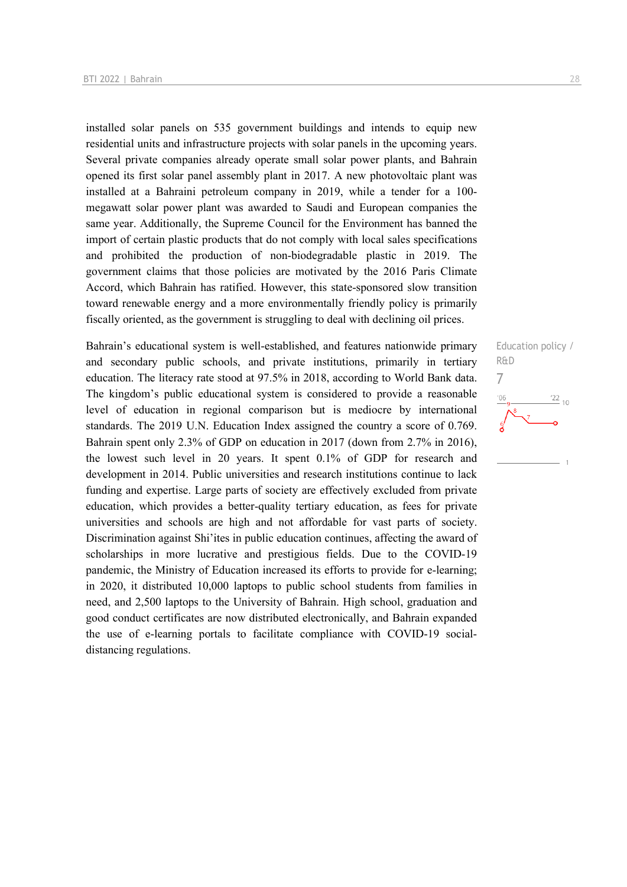installed solar panels on 535 government buildings and intends to equip new residential units and infrastructure projects with solar panels in the upcoming years. Several private companies already operate small solar power plants, and Bahrain opened its first solar panel assembly plant in 2017. A new photovoltaic plant was installed at a Bahraini petroleum company in 2019, while a tender for a 100 megawatt solar power plant was awarded to Saudi and European companies the same year. Additionally, the Supreme Council for the Environment has banned the import of certain plastic products that do not comply with local sales specifications and prohibited the production of non-biodegradable plastic in 2019. The government claims that those policies are motivated by the 2016 Paris Climate Accord, which Bahrain has ratified. However, this state-sponsored slow transition toward renewable energy and a more environmentally friendly policy is primarily fiscally oriented, as the government is struggling to deal with declining oil prices.

Bahrain's educational system is well-established, and features nationwide primary and secondary public schools, and private institutions, primarily in tertiary education. The literacy rate stood at 97.5% in 2018, according to World Bank data. The kingdom's public educational system is considered to provide a reasonable level of education in regional comparison but is mediocre by international standards. The 2019 U.N. Education Index assigned the country a score of 0.769. Bahrain spent only 2.3% of GDP on education in 2017 (down from 2.7% in 2016), the lowest such level in 20 years. It spent 0.1% of GDP for research and development in 2014. Public universities and research institutions continue to lack funding and expertise. Large parts of society are effectively excluded from private education, which provides a better-quality tertiary education, as fees for private universities and schools are high and not affordable for vast parts of society. Discrimination against Shi'ites in public education continues, affecting the award of scholarships in more lucrative and prestigious fields. Due to the COVID-19 pandemic, the Ministry of Education increased its efforts to provide for e-learning; in 2020, it distributed 10,000 laptops to public school students from families in need, and 2,500 laptops to the University of Bahrain. High school, graduation and good conduct certificates are now distributed electronically, and Bahrain expanded the use of e-learning portals to facilitate compliance with COVID-19 socialdistancing regulations.

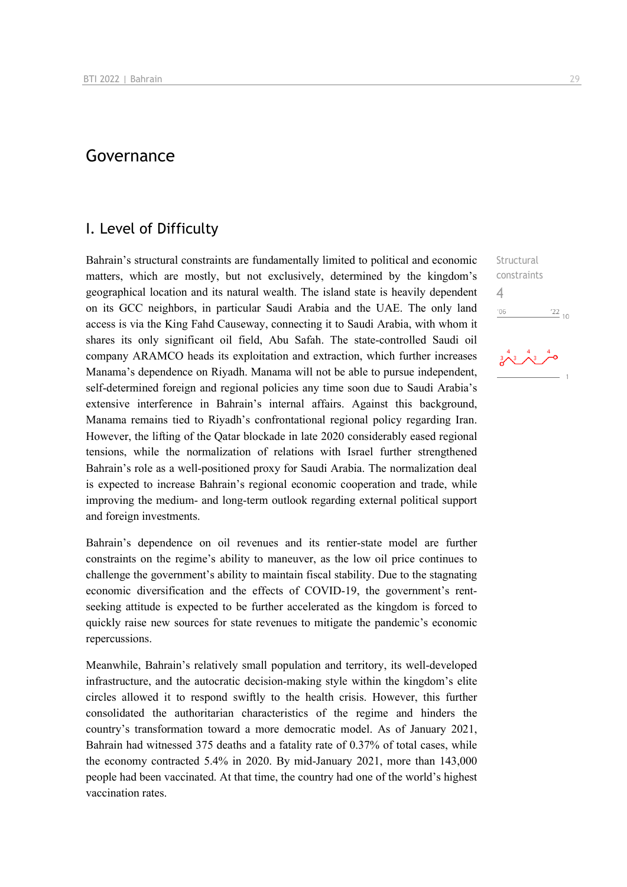## Governance

### I. Level of Difficulty

Bahrain's structural constraints are fundamentally limited to political and economic matters, which are mostly, but not exclusively, determined by the kingdom's geographical location and its natural wealth. The island state is heavily dependent on its GCC neighbors, in particular Saudi Arabia and the UAE. The only land access is via the King Fahd Causeway, connecting it to Saudi Arabia, with whom it shares its only significant oil field, Abu Safah. The state-controlled Saudi oil company ARAMCO heads its exploitation and extraction, which further increases Manama's dependence on Riyadh. Manama will not be able to pursue independent, self-determined foreign and regional policies any time soon due to Saudi Arabia's extensive interference in Bahrain's internal affairs. Against this background, Manama remains tied to Riyadh's confrontational regional policy regarding Iran. However, the lifting of the Qatar blockade in late 2020 considerably eased regional tensions, while the normalization of relations with Israel further strengthened Bahrain's role as a well-positioned proxy for Saudi Arabia. The normalization deal is expected to increase Bahrain's regional economic cooperation and trade, while improving the medium- and long-term outlook regarding external political support and foreign investments.

Bahrain's dependence on oil revenues and its rentier-state model are further constraints on the regime's ability to maneuver, as the low oil price continues to challenge the government's ability to maintain fiscal stability. Due to the stagnating economic diversification and the effects of COVID-19, the government's rentseeking attitude is expected to be further accelerated as the kingdom is forced to quickly raise new sources for state revenues to mitigate the pandemic's economic repercussions.

Meanwhile, Bahrain's relatively small population and territory, its well-developed infrastructure, and the autocratic decision-making style within the kingdom's elite circles allowed it to respond swiftly to the health crisis. However, this further consolidated the authoritarian characteristics of the regime and hinders the country's transformation toward a more democratic model. As of January 2021, Bahrain had witnessed 375 deaths and a fatality rate of 0.37% of total cases, while the economy contracted 5.4% in 2020. By mid-January 2021, more than 143,000 people had been vaccinated. At that time, the country had one of the world's highest vaccination rates.

Structural constraints 4 $-06$  $^{22}_{-10}$ 

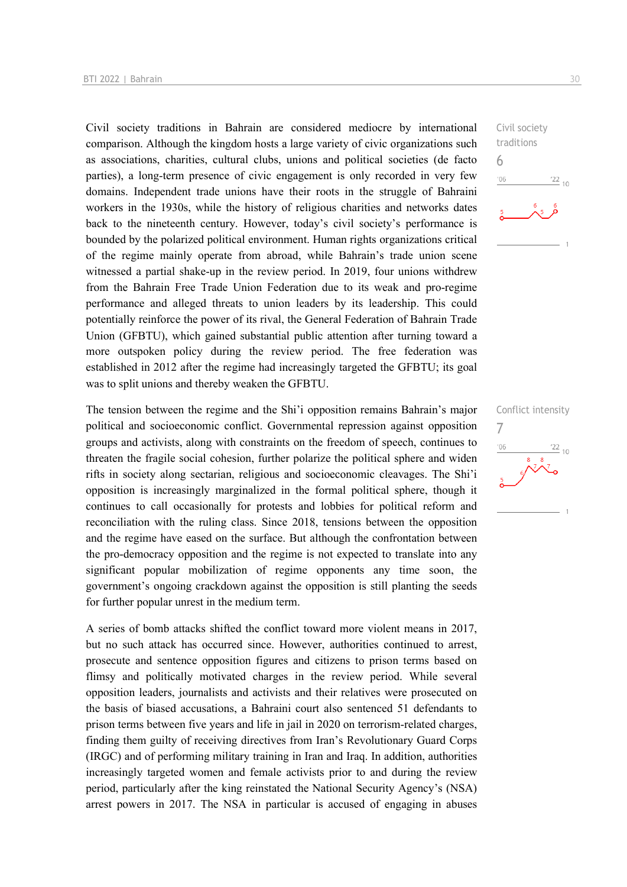Civil society traditions in Bahrain are considered mediocre by international comparison. Although the kingdom hosts a large variety of civic organizations such as associations, charities, cultural clubs, unions and political societies (de facto parties), a long-term presence of civic engagement is only recorded in very few domains. Independent trade unions have their roots in the struggle of Bahraini workers in the 1930s, while the history of religious charities and networks dates back to the nineteenth century. However, today's civil society's performance is bounded by the polarized political environment. Human rights organizations critical of the regime mainly operate from abroad, while Bahrain's trade union scene witnessed a partial shake-up in the review period. In 2019, four unions withdrew from the Bahrain Free Trade Union Federation due to its weak and pro-regime performance and alleged threats to union leaders by its leadership. This could potentially reinforce the power of its rival, the General Federation of Bahrain Trade Union (GFBTU), which gained substantial public attention after turning toward a more outspoken policy during the review period. The free federation was established in 2012 after the regime had increasingly targeted the GFBTU; its goal was to split unions and thereby weaken the GFBTU.

The tension between the regime and the Shi'i opposition remains Bahrain's major political and socioeconomic conflict. Governmental repression against opposition groups and activists, along with constraints on the freedom of speech, continues to threaten the fragile social cohesion, further polarize the political sphere and widen rifts in society along sectarian, religious and socioeconomic cleavages. The Shi'i opposition is increasingly marginalized in the formal political sphere, though it continues to call occasionally for protests and lobbies for political reform and reconciliation with the ruling class. Since 2018, tensions between the opposition and the regime have eased on the surface. But although the confrontation between the pro-democracy opposition and the regime is not expected to translate into any significant popular mobilization of regime opponents any time soon, the government's ongoing crackdown against the opposition is still planting the seeds for further popular unrest in the medium term.

A series of bomb attacks shifted the conflict toward more violent means in 2017, but no such attack has occurred since. However, authorities continued to arrest, prosecute and sentence opposition figures and citizens to prison terms based on flimsy and politically motivated charges in the review period. While several opposition leaders, journalists and activists and their relatives were prosecuted on the basis of biased accusations, a Bahraini court also sentenced 51 defendants to prison terms between five years and life in jail in 2020 on terrorism-related charges, finding them guilty of receiving directives from Iran's Revolutionary Guard Corps (IRGC) and of performing military training in Iran and Iraq. In addition, authorities increasingly targeted women and female activists prior to and during the review period, particularly after the king reinstated the National Security Agency's (NSA) arrest powers in 2017. The NSA in particular is accused of engaging in abuses



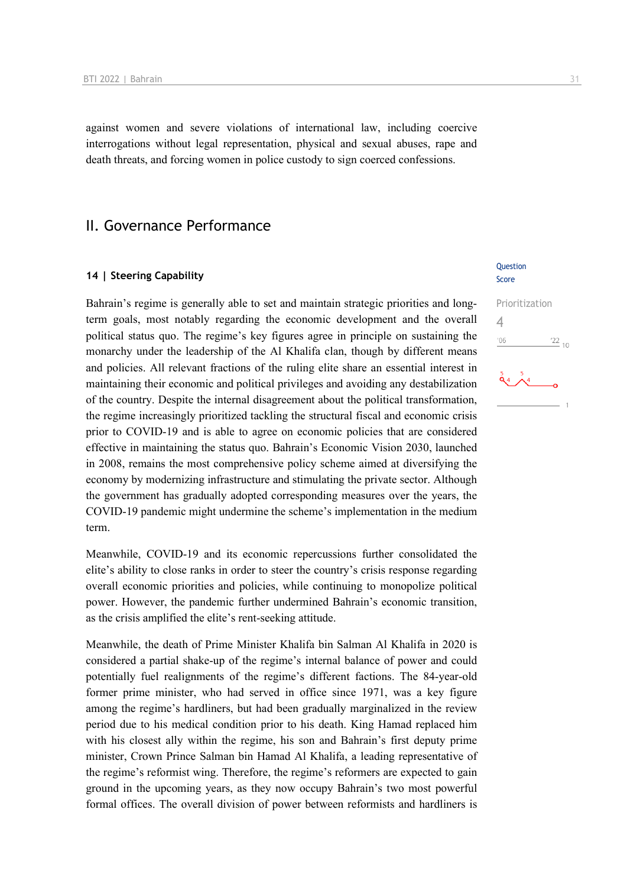against women and severe violations of international law, including coercive interrogations without legal representation, physical and sexual abuses, rape and death threats, and forcing women in police custody to sign coerced confessions.

### II. Governance Performance

### **14 | Steering Capability**

Bahrain's regime is generally able to set and maintain strategic priorities and longterm goals, most notably regarding the economic development and the overall political status quo. The regime's key figures agree in principle on sustaining the monarchy under the leadership of the Al Khalifa clan, though by different means and policies. All relevant fractions of the ruling elite share an essential interest in maintaining their economic and political privileges and avoiding any destabilization of the country. Despite the internal disagreement about the political transformation, the regime increasingly prioritized tackling the structural fiscal and economic crisis prior to COVID-19 and is able to agree on economic policies that are considered effective in maintaining the status quo. Bahrain's Economic Vision 2030, launched in 2008, remains the most comprehensive policy scheme aimed at diversifying the economy by modernizing infrastructure and stimulating the private sector. Although the government has gradually adopted corresponding measures over the years, the COVID-19 pandemic might undermine the scheme's implementation in the medium term.

Meanwhile, COVID-19 and its economic repercussions further consolidated the elite's ability to close ranks in order to steer the country's crisis response regarding overall economic priorities and policies, while continuing to monopolize political power. However, the pandemic further undermined Bahrain's economic transition, as the crisis amplified the elite's rent-seeking attitude.

Meanwhile, the death of Prime Minister Khalifa bin Salman Al Khalifa in 2020 is considered a partial shake-up of the regime's internal balance of power and could potentially fuel realignments of the regime's different factions. The 84-year-old former prime minister, who had served in office since 1971, was a key figure among the regime's hardliners, but had been gradually marginalized in the review period due to his medical condition prior to his death. King Hamad replaced him with his closest ally within the regime, his son and Bahrain's first deputy prime minister, Crown Prince Salman bin Hamad Al Khalifa, a leading representative of the regime's reformist wing. Therefore, the regime's reformers are expected to gain ground in the upcoming years, as they now occupy Bahrain's two most powerful formal offices. The overall division of power between reformists and hardliners is

### Question Score

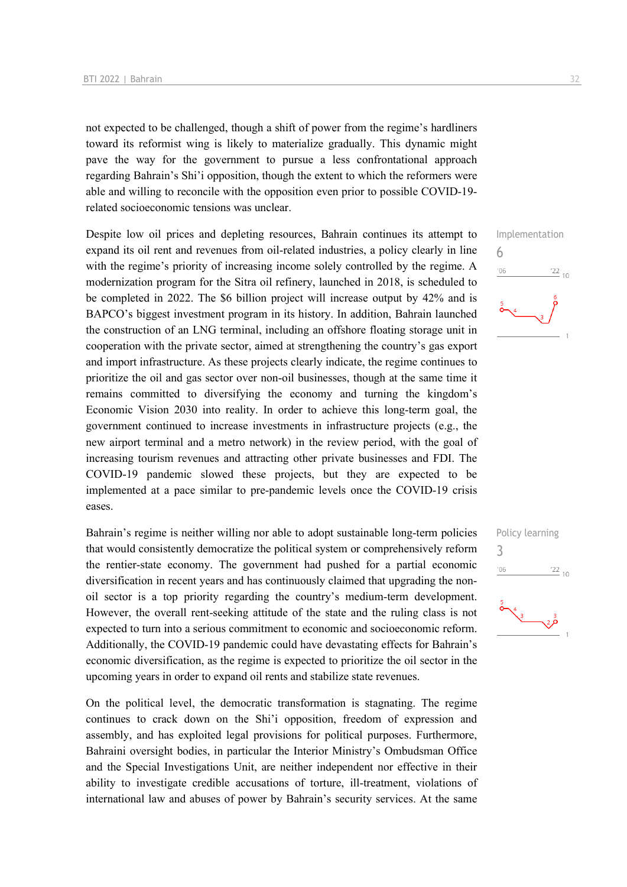not expected to be challenged, though a shift of power from the regime's hardliners toward its reformist wing is likely to materialize gradually. This dynamic might pave the way for the government to pursue a less confrontational approach regarding Bahrain's Shi'i opposition, though the extent to which the reformers were able and willing to reconcile with the opposition even prior to possible COVID-19 related socioeconomic tensions was unclear.

Despite low oil prices and depleting resources, Bahrain continues its attempt to expand its oil rent and revenues from oil-related industries, a policy clearly in line with the regime's priority of increasing income solely controlled by the regime. A modernization program for the Sitra oil refinery, launched in 2018, is scheduled to be completed in 2022. The \$6 billion project will increase output by 42% and is BAPCO's biggest investment program in its history. In addition, Bahrain launched the construction of an LNG terminal, including an offshore floating storage unit in cooperation with the private sector, aimed at strengthening the country's gas export and import infrastructure. As these projects clearly indicate, the regime continues to prioritize the oil and gas sector over non-oil businesses, though at the same time it remains committed to diversifying the economy and turning the kingdom's Economic Vision 2030 into reality. In order to achieve this long-term goal, the government continued to increase investments in infrastructure projects (e.g., the new airport terminal and a metro network) in the review period, with the goal of increasing tourism revenues and attracting other private businesses and FDI. The COVID-19 pandemic slowed these projects, but they are expected to be implemented at a pace similar to pre-pandemic levels once the COVID-19 crisis eases.

Bahrain's regime is neither willing nor able to adopt sustainable long-term policies that would consistently democratize the political system or comprehensively reform the rentier-state economy. The government had pushed for a partial economic diversification in recent years and has continuously claimed that upgrading the nonoil sector is a top priority regarding the country's medium-term development. However, the overall rent-seeking attitude of the state and the ruling class is not expected to turn into a serious commitment to economic and socioeconomic reform. Additionally, the COVID-19 pandemic could have devastating effects for Bahrain's economic diversification, as the regime is expected to prioritize the oil sector in the upcoming years in order to expand oil rents and stabilize state revenues.

On the political level, the democratic transformation is stagnating. The regime continues to crack down on the Shi'i opposition, freedom of expression and assembly, and has exploited legal provisions for political purposes. Furthermore, Bahraini oversight bodies, in particular the Interior Ministry's Ombudsman Office and the Special Investigations Unit, are neither independent nor effective in their ability to investigate credible accusations of torture, ill-treatment, violations of international law and abuses of power by Bahrain's security services. At the same



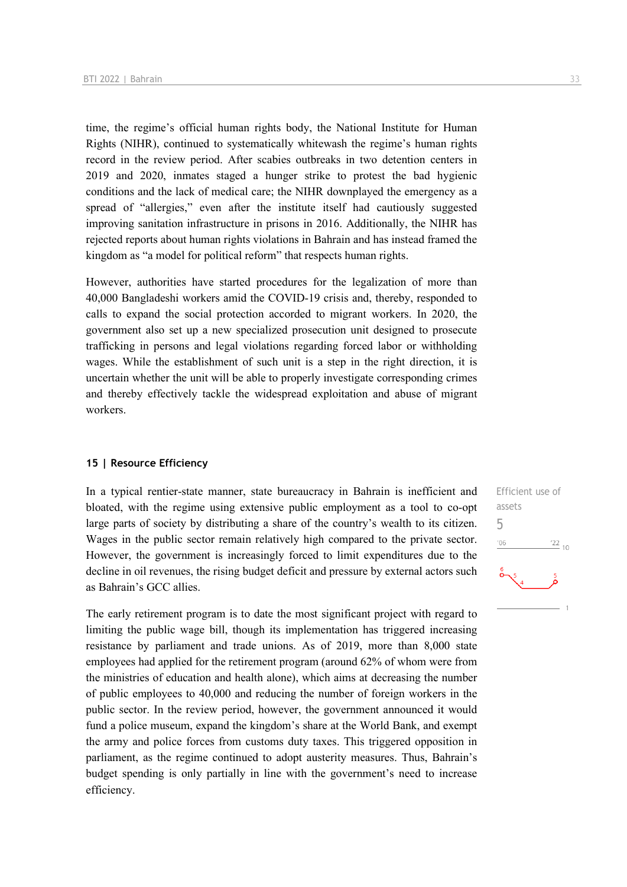time, the regime's official human rights body, the National Institute for Human Rights (NIHR), continued to systematically whitewash the regime's human rights record in the review period. After scabies outbreaks in two detention centers in 2019 and 2020, inmates staged a hunger strike to protest the bad hygienic conditions and the lack of medical care; the NIHR downplayed the emergency as a spread of "allergies," even after the institute itself had cautiously suggested improving sanitation infrastructure in prisons in 2016. Additionally, the NIHR has rejected reports about human rights violations in Bahrain and has instead framed the kingdom as "a model for political reform" that respects human rights.

However, authorities have started procedures for the legalization of more than 40,000 Bangladeshi workers amid the COVID-19 crisis and, thereby, responded to calls to expand the social protection accorded to migrant workers. In 2020, the government also set up a new specialized prosecution unit designed to prosecute trafficking in persons and legal violations regarding forced labor or withholding wages. While the establishment of such unit is a step in the right direction, it is uncertain whether the unit will be able to properly investigate corresponding crimes and thereby effectively tackle the widespread exploitation and abuse of migrant workers.

### **15 | Resource Efficiency**

In a typical rentier-state manner, state bureaucracy in Bahrain is inefficient and bloated, with the regime using extensive public employment as a tool to co-opt large parts of society by distributing a share of the country's wealth to its citizen. Wages in the public sector remain relatively high compared to the private sector. However, the government is increasingly forced to limit expenditures due to the decline in oil revenues, the rising budget deficit and pressure by external actors such as Bahrain's GCC allies.

The early retirement program is to date the most significant project with regard to limiting the public wage bill, though its implementation has triggered increasing resistance by parliament and trade unions. As of 2019, more than 8,000 state employees had applied for the retirement program (around 62% of whom were from the ministries of education and health alone), which aims at decreasing the number of public employees to 40,000 and reducing the number of foreign workers in the public sector. In the review period, however, the government announced it would fund a police museum, expand the kingdom's share at the World Bank, and exempt the army and police forces from customs duty taxes. This triggered opposition in parliament, as the regime continued to adopt austerity measures. Thus, Bahrain's budget spending is only partially in line with the government's need to increase efficiency.

Efficient use of assets 5 $06'$  $\frac{22}{10}$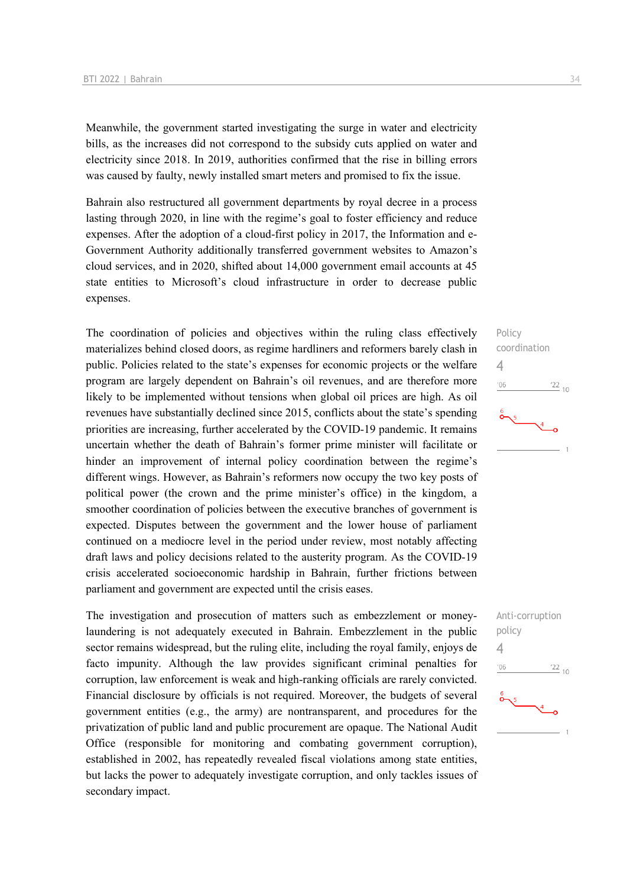Meanwhile, the government started investigating the surge in water and electricity bills, as the increases did not correspond to the subsidy cuts applied on water and electricity since 2018. In 2019, authorities confirmed that the rise in billing errors was caused by faulty, newly installed smart meters and promised to fix the issue.

Bahrain also restructured all government departments by royal decree in a process lasting through 2020, in line with the regime's goal to foster efficiency and reduce expenses. After the adoption of a cloud-first policy in 2017, the Information and e-Government Authority additionally transferred government websites to Amazon's cloud services, and in 2020, shifted about 14,000 government email accounts at 45 state entities to Microsoft's cloud infrastructure in order to decrease public expenses.

The coordination of policies and objectives within the ruling class effectively materializes behind closed doors, as regime hardliners and reformers barely clash in public. Policies related to the state's expenses for economic projects or the welfare program are largely dependent on Bahrain's oil revenues, and are therefore more likely to be implemented without tensions when global oil prices are high. As oil revenues have substantially declined since 2015, conflicts about the state's spending priorities are increasing, further accelerated by the COVID-19 pandemic. It remains uncertain whether the death of Bahrain's former prime minister will facilitate or hinder an improvement of internal policy coordination between the regime's different wings. However, as Bahrain's reformers now occupy the two key posts of political power (the crown and the prime minister's office) in the kingdom, a smoother coordination of policies between the executive branches of government is expected. Disputes between the government and the lower house of parliament continued on a mediocre level in the period under review, most notably affecting draft laws and policy decisions related to the austerity program. As the COVID-19 crisis accelerated socioeconomic hardship in Bahrain, further frictions between parliament and government are expected until the crisis eases.

The investigation and prosecution of matters such as embezzlement or moneylaundering is not adequately executed in Bahrain. Embezzlement in the public sector remains widespread, but the ruling elite, including the royal family, enjoys de facto impunity. Although the law provides significant criminal penalties for corruption, law enforcement is weak and high-ranking officials are rarely convicted. Financial disclosure by officials is not required. Moreover, the budgets of several government entities (e.g., the army) are nontransparent, and procedures for the privatization of public land and public procurement are opaque. The National Audit Office (responsible for monitoring and combating government corruption), established in 2002, has repeatedly revealed fiscal violations among state entities, but lacks the power to adequately investigate corruption, and only tackles issues of secondary impact.



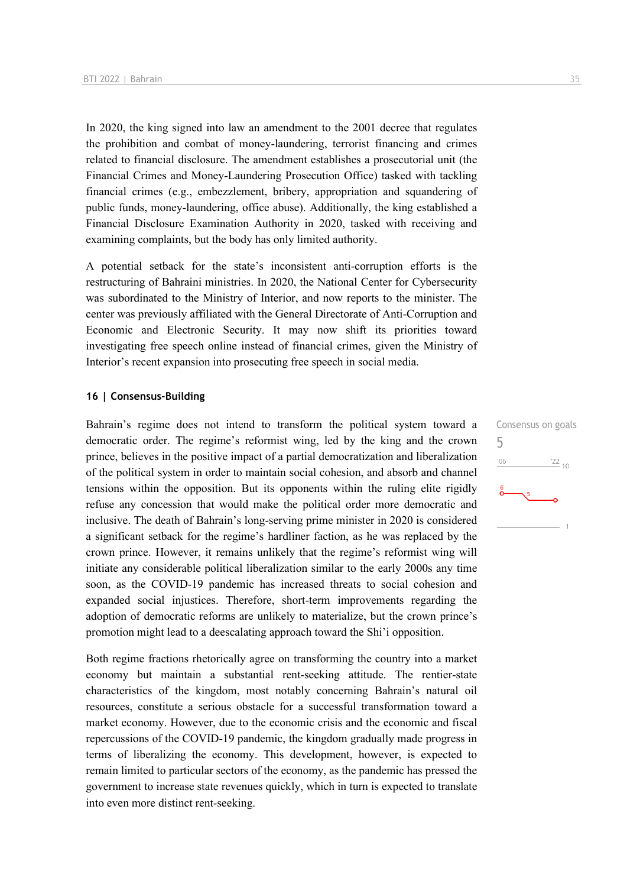In 2020, the king signed into law an amendment to the 2001 decree that regulates the prohibition and combat of money-laundering, terrorist financing and crimes related to financial disclosure. The amendment establishes a prosecutorial unit (the Financial Crimes and Money-Laundering Prosecution Office) tasked with tackling financial crimes (e.g., embezzlement, bribery, appropriation and squandering of public funds, money-laundering, office abuse). Additionally, the king established a Financial Disclosure Examination Authority in 2020, tasked with receiving and examining complaints, but the body has only limited authority.

A potential setback for the state's inconsistent anti-corruption efforts is the restructuring of Bahraini ministries. In 2020, the National Center for Cybersecurity was subordinated to the Ministry of Interior, and now reports to the minister. The center was previously affiliated with the General Directorate of Anti-Corruption and Economic and Electronic Security. It may now shift its priorities toward investigating free speech online instead of financial crimes, given the Ministry of Interior's recent expansion into prosecuting free speech in social media.

### **16 | Consensus-Building**

Bahrain's regime does not intend to transform the political system toward a democratic order. The regime's reformist wing, led by the king and the crown prince, believes in the positive impact of a partial democratization and liberalization of the political system in order to maintain social cohesion, and absorb and channel tensions within the opposition. But its opponents within the ruling elite rigidly refuse any concession that would make the political order more democratic and inclusive. The death of Bahrain's long-serving prime minister in 2020 is considered a significant setback for the regime's hardliner faction, as he was replaced by the crown prince. However, it remains unlikely that the regime's reformist wing will initiate any considerable political liberalization similar to the early 2000s any time soon, as the COVID-19 pandemic has increased threats to social cohesion and expanded social injustices. Therefore, short-term improvements regarding the adoption of democratic reforms are unlikely to materialize, but the crown prince's promotion might lead to a deescalating approach toward the Shi'i opposition.

Both regime fractions rhetorically agree on transforming the country into a market economy but maintain a substantial rent-seeking attitude. The rentier-state characteristics of the kingdom, most notably concerning Bahrain's natural oil resources, constitute a serious obstacle for a successful transformation toward a market economy. However, due to the economic crisis and the economic and fiscal repercussions of the COVID-19 pandemic, the kingdom gradually made progress in terms of liberalizing the economy. This development, however, is expected to remain limited to particular sectors of the economy, as the pandemic has pressed the government to increase state revenues quickly, which in turn is expected to translate into even more distinct rent-seeking.

Consensus on goals 5 $06'$  $\frac{22}{10}$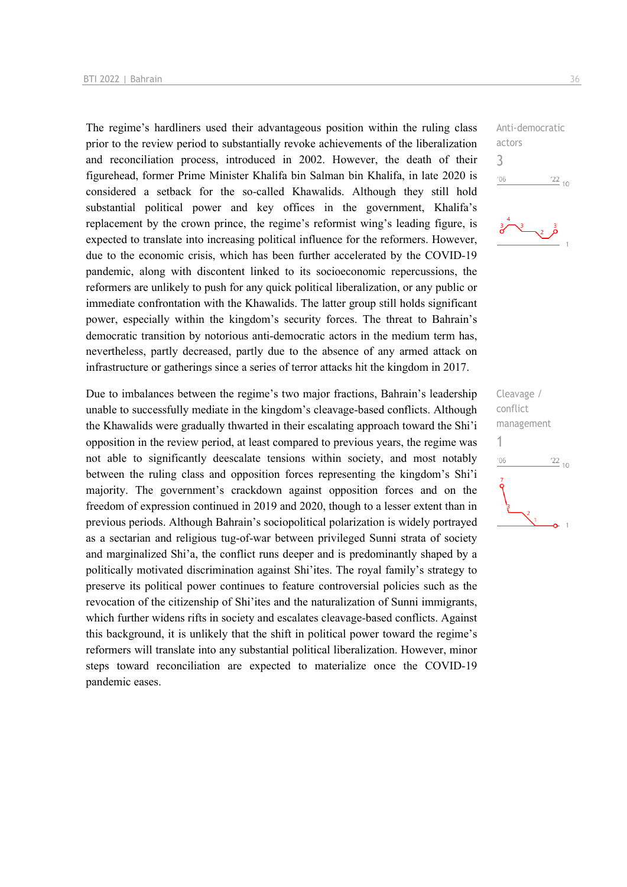The regime's hardliners used their advantageous position within the ruling class prior to the review period to substantially revoke achievements of the liberalization and reconciliation process, introduced in 2002. However, the death of their figurehead, former Prime Minister Khalifa bin Salman bin Khalifa, in late 2020 is considered a setback for the so-called Khawalids. Although they still hold substantial political power and key offices in the government, Khalifa's replacement by the crown prince, the regime's reformist wing's leading figure, is expected to translate into increasing political influence for the reformers. However, due to the economic crisis, which has been further accelerated by the COVID-19 pandemic, along with discontent linked to its socioeconomic repercussions, the reformers are unlikely to push for any quick political liberalization, or any public or immediate confrontation with the Khawalids. The latter group still holds significant power, especially within the kingdom's security forces. The threat to Bahrain's democratic transition by notorious anti-democratic actors in the medium term has, nevertheless, partly decreased, partly due to the absence of any armed attack on infrastructure or gatherings since a series of terror attacks hit the kingdom in 2017.

Due to imbalances between the regime's two major fractions, Bahrain's leadership unable to successfully mediate in the kingdom's cleavage-based conflicts. Although the Khawalids were gradually thwarted in their escalating approach toward the Shi'i opposition in the review period, at least compared to previous years, the regime was not able to significantly deescalate tensions within society, and most notably between the ruling class and opposition forces representing the kingdom's Shi'i majority. The government's crackdown against opposition forces and on the freedom of expression continued in 2019 and 2020, though to a lesser extent than in previous periods. Although Bahrain's sociopolitical polarization is widely portrayed as a sectarian and religious tug-of-war between privileged Sunni strata of society and marginalized Shi'a, the conflict runs deeper and is predominantly shaped by a politically motivated discrimination against Shi'ites. The royal family's strategy to preserve its political power continues to feature controversial policies such as the revocation of the citizenship of Shi'ites and the naturalization of Sunni immigrants, which further widens rifts in society and escalates cleavage-based conflicts. Against this background, it is unlikely that the shift in political power toward the regime's reformers will translate into any substantial political liberalization. However, minor steps toward reconciliation are expected to materialize once the COVID-19 pandemic eases.





Cleavage / conflict management 1 $n<sub>6</sub>$  $\frac{22}{10}$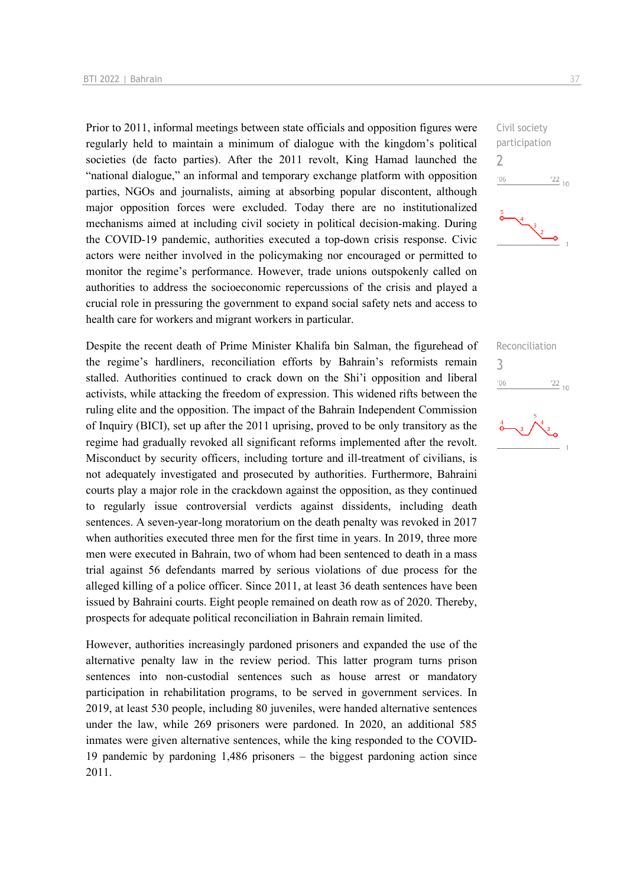Prior to 2011, informal meetings between state officials and opposition figures were regularly held to maintain a minimum of dialogue with the kingdom's political societies (de facto parties). After the 2011 revolt, King Hamad launched the "national dialogue," an informal and temporary exchange platform with opposition parties, NGOs and journalists, aiming at absorbing popular discontent, although major opposition forces were excluded. Today there are no institutionalized mechanisms aimed at including civil society in political decision-making. During the COVID-19 pandemic, authorities executed a top-down crisis response. Civic actors were neither involved in the policymaking nor encouraged or permitted to monitor the regime's performance. However, trade unions outspokenly called on authorities to address the socioeconomic repercussions of the crisis and played a crucial role in pressuring the government to expand social safety nets and access to health care for workers and migrant workers in particular.

Despite the recent death of Prime Minister Khalifa bin Salman, the figurehead of the regime's hardliners, reconciliation efforts by Bahrain's reformists remain stalled. Authorities continued to crack down on the Shi'i opposition and liberal activists, while attacking the freedom of expression. This widened rifts between the ruling elite and the opposition. The impact of the Bahrain Independent Commission of Inquiry (BICI), set up after the 2011 uprising, proved to be only transitory as the regime had gradually revoked all significant reforms implemented after the revolt. Misconduct by security officers, including torture and ill-treatment of civilians, is not adequately investigated and prosecuted by authorities. Furthermore, Bahraini courts play a major role in the crackdown against the opposition, as they continued to regularly issue controversial verdicts against dissidents, including death sentences. A seven-year-long moratorium on the death penalty was revoked in 2017 when authorities executed three men for the first time in years. In 2019, three more men were executed in Bahrain, two of whom had been sentenced to death in a mass trial against 56 defendants marred by serious violations of due process for the alleged killing of a police officer. Since 2011, at least 36 death sentences have been issued by Bahraini courts. Eight people remained on death row as of 2020. Thereby, prospects for adequate political reconciliation in Bahrain remain limited.

However, authorities increasingly pardoned prisoners and expanded the use of the alternative penalty law in the review period. This latter program turns prison sentences into non-custodial sentences such as house arrest or mandatory participation in rehabilitation programs, to be served in government services. In 2019, at least 530 people, including 80 juveniles, were handed alternative sentences under the law, while 269 prisoners were pardoned. In 2020, an additional 585 inmates were given alternative sentences, while the king responded to the COVID-19 pandemic by pardoning 1,486 prisoners – the biggest pardoning action since 2011.



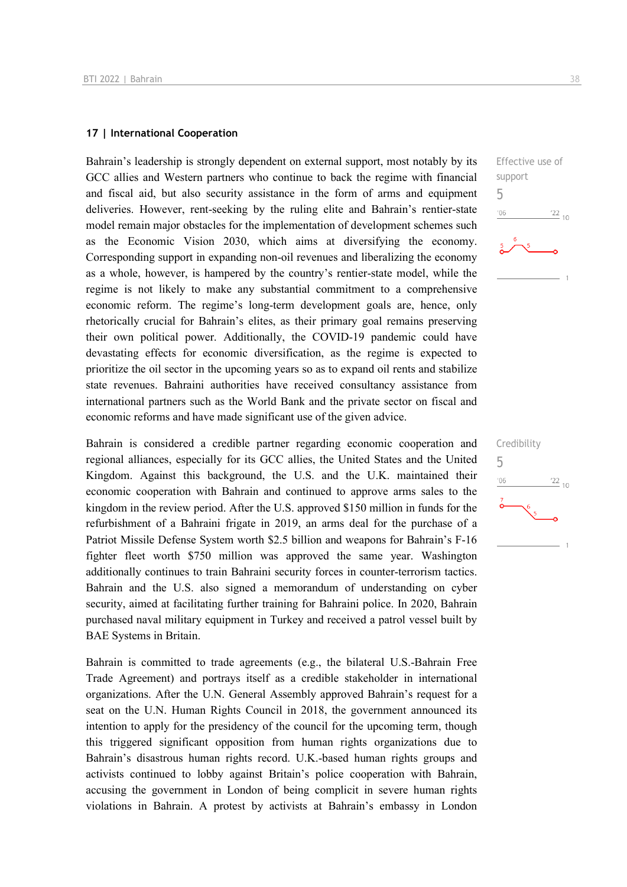### **17 | International Cooperation**

Bahrain's leadership is strongly dependent on external support, most notably by its GCC allies and Western partners who continue to back the regime with financial and fiscal aid, but also security assistance in the form of arms and equipment deliveries. However, rent-seeking by the ruling elite and Bahrain's rentier-state model remain major obstacles for the implementation of development schemes such as the Economic Vision 2030, which aims at diversifying the economy. Corresponding support in expanding non-oil revenues and liberalizing the economy as a whole, however, is hampered by the country's rentier-state model, while the regime is not likely to make any substantial commitment to a comprehensive economic reform. The regime's long-term development goals are, hence, only rhetorically crucial for Bahrain's elites, as their primary goal remains preserving their own political power. Additionally, the COVID-19 pandemic could have devastating effects for economic diversification, as the regime is expected to prioritize the oil sector in the upcoming years so as to expand oil rents and stabilize state revenues. Bahraini authorities have received consultancy assistance from international partners such as the World Bank and the private sector on fiscal and economic reforms and have made significant use of the given advice.

Bahrain is considered a credible partner regarding economic cooperation and regional alliances, especially for its GCC allies, the United States and the United Kingdom. Against this background, the U.S. and the U.K. maintained their economic cooperation with Bahrain and continued to approve arms sales to the kingdom in the review period. After the U.S. approved \$150 million in funds for the refurbishment of a Bahraini frigate in 2019, an arms deal for the purchase of a Patriot Missile Defense System worth \$2.5 billion and weapons for Bahrain's F-16 fighter fleet worth \$750 million was approved the same year. Washington additionally continues to train Bahraini security forces in counter-terrorism tactics. Bahrain and the U.S. also signed a memorandum of understanding on cyber security, aimed at facilitating further training for Bahraini police. In 2020, Bahrain purchased naval military equipment in Turkey and received a patrol vessel built by BAE Systems in Britain.

Bahrain is committed to trade agreements (e.g., the bilateral U.S.-Bahrain Free Trade Agreement) and portrays itself as a credible stakeholder in international organizations. After the U.N. General Assembly approved Bahrain's request for a seat on the U.N. Human Rights Council in 2018, the government announced its intention to apply for the presidency of the council for the upcoming term, though this triggered significant opposition from human rights organizations due to Bahrain's disastrous human rights record. U.K.-based human rights groups and activists continued to lobby against Britain's police cooperation with Bahrain, accusing the government in London of being complicit in severe human rights violations in Bahrain. A protest by activists at Bahrain's embassy in London



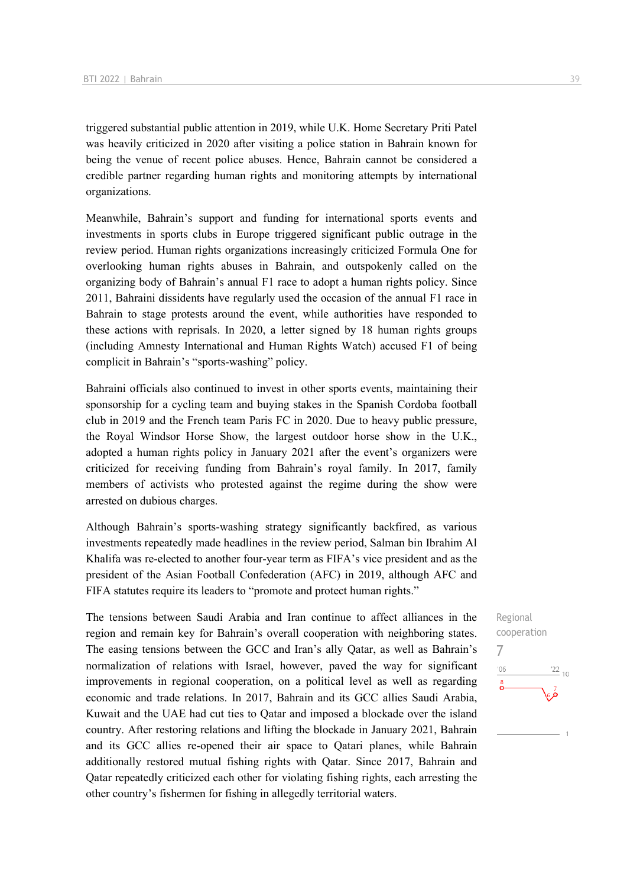triggered substantial public attention in 2019, while U.K. Home Secretary Priti Patel was heavily criticized in 2020 after visiting a police station in Bahrain known for being the venue of recent police abuses. Hence, Bahrain cannot be considered a credible partner regarding human rights and monitoring attempts by international organizations.

Meanwhile, Bahrain's support and funding for international sports events and investments in sports clubs in Europe triggered significant public outrage in the review period. Human rights organizations increasingly criticized Formula One for overlooking human rights abuses in Bahrain, and outspokenly called on the organizing body of Bahrain's annual F1 race to adopt a human rights policy. Since 2011, Bahraini dissidents have regularly used the occasion of the annual F1 race in Bahrain to stage protests around the event, while authorities have responded to these actions with reprisals. In 2020, a letter signed by 18 human rights groups (including Amnesty International and Human Rights Watch) accused F1 of being complicit in Bahrain's "sports-washing" policy.

Bahraini officials also continued to invest in other sports events, maintaining their sponsorship for a cycling team and buying stakes in the Spanish Cordoba football club in 2019 and the French team Paris FC in 2020. Due to heavy public pressure, the Royal Windsor Horse Show, the largest outdoor horse show in the U.K., adopted a human rights policy in January 2021 after the event's organizers were criticized for receiving funding from Bahrain's royal family. In 2017, family members of activists who protested against the regime during the show were arrested on dubious charges.

Although Bahrain's sports-washing strategy significantly backfired, as various investments repeatedly made headlines in the review period, Salman bin Ibrahim Al Khalifa was re-elected to another four-year term as FIFA's vice president and as the president of the Asian Football Confederation (AFC) in 2019, although AFC and FIFA statutes require its leaders to "promote and protect human rights."

The tensions between Saudi Arabia and Iran continue to affect alliances in the region and remain key for Bahrain's overall cooperation with neighboring states. The easing tensions between the GCC and Iran's ally Qatar, as well as Bahrain's normalization of relations with Israel, however, paved the way for significant improvements in regional cooperation, on a political level as well as regarding economic and trade relations. In 2017, Bahrain and its GCC allies Saudi Arabia, Kuwait and the UAE had cut ties to Qatar and imposed a blockade over the island country. After restoring relations and lifting the blockade in January 2021, Bahrain and its GCC allies re-opened their air space to Qatari planes, while Bahrain additionally restored mutual fishing rights with Qatar. Since 2017, Bahrain and Qatar repeatedly criticized each other for violating fishing rights, each arresting the other country's fishermen for fishing in allegedly territorial waters.

Regional cooperation 7 $\frac{22}{10}$  $^{\prime}06$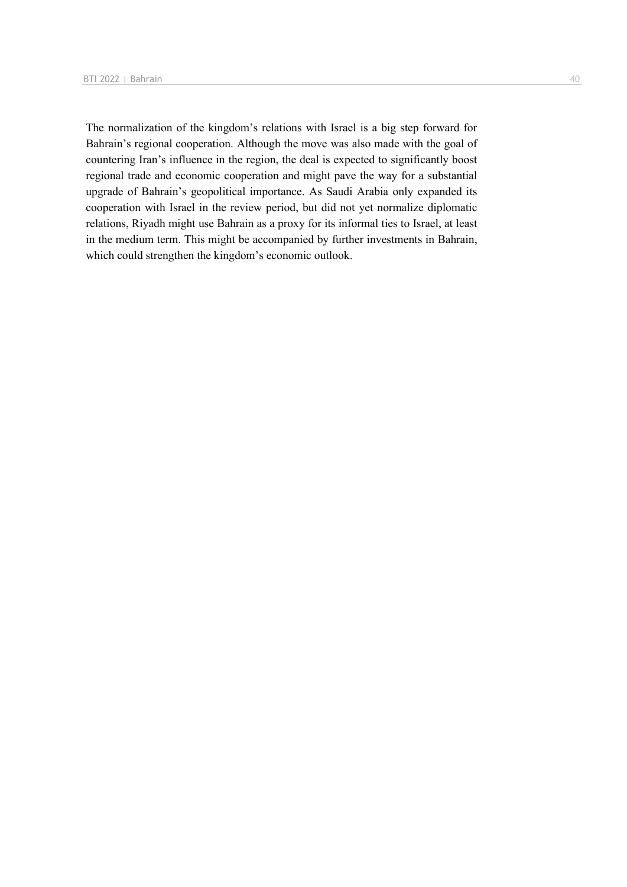The normalization of the kingdom's relations with Israel is a big step forward for Bahrain's regional cooperation. Although the move was also made with the goal of countering Iran's influence in the region, the deal is expected to significantly boost regional trade and economic cooperation and might pave the way for a substantial upgrade of Bahrain's geopolitical importance. As Saudi Arabia only expanded its cooperation with Israel in the review period, but did not yet normalize diplomatic relations, Riyadh might use Bahrain as a proxy for its informal ties to Israel, at least in the medium term. This might be accompanied by further investments in Bahrain, which could strengthen the kingdom's economic outlook.